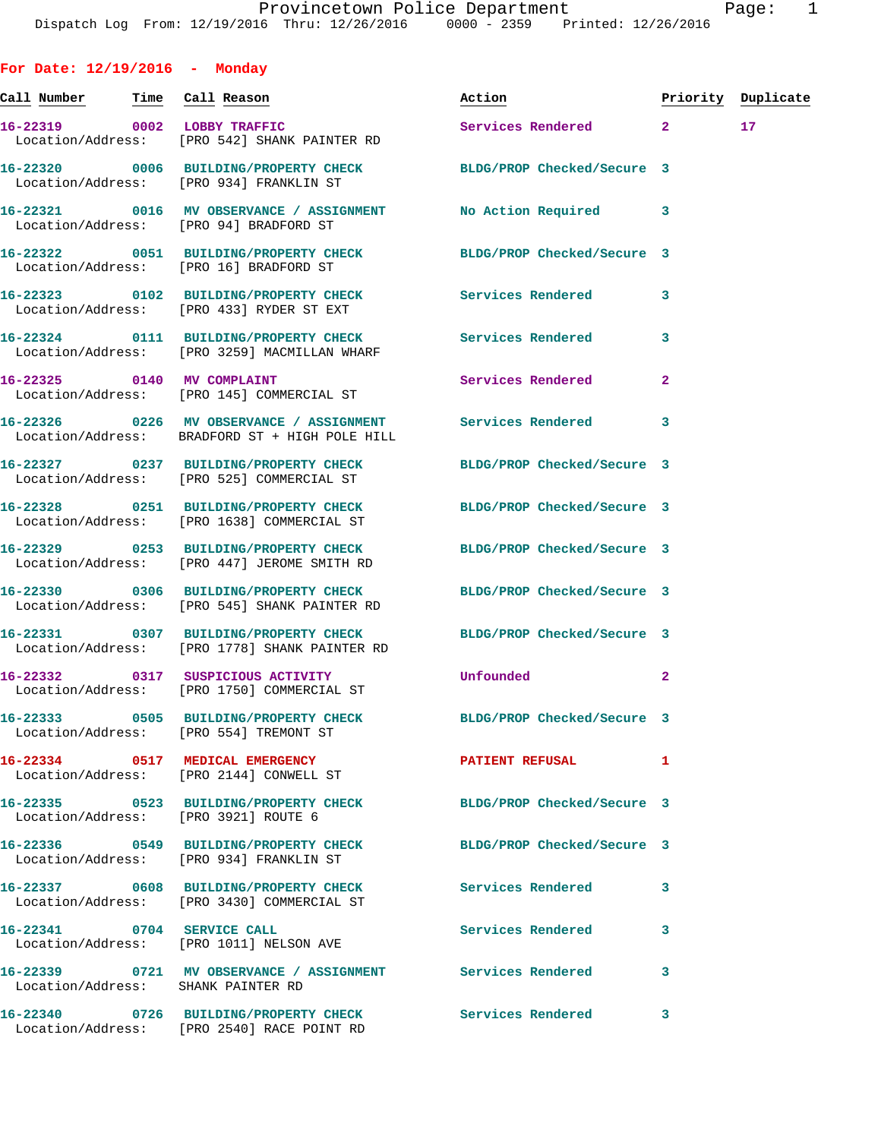| For Date: $12/19/2016$ - Monday        |                                                                                                                          |                            |              |                    |
|----------------------------------------|--------------------------------------------------------------------------------------------------------------------------|----------------------------|--------------|--------------------|
| <u>Call Number — Time Call Reason</u>  |                                                                                                                          | Action                     |              | Priority Duplicate |
| 16-22319 0002 LOBBY TRAFFIC            | Location/Address: [PRO 542] SHANK PAINTER RD                                                                             | Services Rendered 2        |              | 17                 |
|                                        | 16-22320 0006 BUILDING/PROPERTY CHECK BLDG/PROP Checked/Secure 3<br>Location/Address: [PRO 934] FRANKLIN ST              |                            |              |                    |
|                                        | 16-22321 0016 MV OBSERVANCE / ASSIGNMENT<br>Location/Address: [PRO 94] BRADFORD ST                                       | No Action Required 3       |              |                    |
|                                        | 16-22322 0051 BUILDING/PROPERTY CHECK BLDG/PROP Checked/Secure 3<br>Location/Address: [PRO 16] BRADFORD ST               |                            |              |                    |
|                                        | 16-22323 0102 BUILDING/PROPERTY CHECK Services Rendered<br>Location/Address: [PRO 433] RYDER ST EXT                      |                            | 3            |                    |
|                                        | 16-22324 0111 BUILDING/PROPERTY CHECK Services Rendered<br>Location/Address: [PRO 3259] MACMILLAN WHARF                  |                            | 3            |                    |
| 16-22325 0140 MV COMPLAINT             | Location/Address: [PRO 145] COMMERCIAL ST                                                                                | Services Rendered          | $\mathbf{2}$ |                    |
|                                        | 16-22326      0226   MV OBSERVANCE / ASSIGNMENT      Services Rendered<br>Location/Address: BRADFORD ST + HIGH POLE HILL |                            | 3            |                    |
|                                        | 16-22327 0237 BUILDING/PROPERTY CHECK BLDG/PROP Checked/Secure 3<br>Location/Address: [PRO 525] COMMERCIAL ST            |                            |              |                    |
|                                        | 16-22328 0251 BUILDING/PROPERTY CHECK BLDG/PROP Checked/Secure 3<br>Location/Address: [PRO 1638] COMMERCIAL ST           |                            |              |                    |
|                                        | 16-22329 0253 BUILDING/PROPERTY CHECK BLDG/PROP Checked/Secure 3<br>Location/Address: [PRO 447] JEROME SMITH RD          |                            |              |                    |
|                                        | 16-22330 0306 BUILDING/PROPERTY CHECK BLDG/PROP Checked/Secure 3<br>Location/Address: [PRO 545] SHANK PAINTER RD         |                            |              |                    |
|                                        | 16-22331 0307 BUILDING/PROPERTY CHECK BLDG/PROP Checked/Secure 3<br>Location/Address: [PRO 1778] SHANK PAINTER RD        |                            |              |                    |
|                                        | 16-22332 0317 SUSPICIOUS ACTIVITY<br>Location/Address: [PRO 1750] COMMERCIAL ST                                          | Unfounded                  | $\mathbf{2}$ |                    |
| Location/Address: [PRO 554] TREMONT ST | 16-22333 0505 BUILDING/PROPERTY CHECK BLDG/PROP Checked/Secure 3                                                         |                            |              |                    |
|                                        | 16-22334 0517 MEDICAL EMERGENCY<br>Location/Address: [PRO 2144] CONWELL ST                                               | <b>PATIENT REFUSAL</b>     | 1            |                    |
| Location/Address: [PRO 3921] ROUTE 6   | 16-22335 0523 BUILDING/PROPERTY CHECK BLDG/PROP Checked/Secure 3                                                         |                            |              |                    |
|                                        | 16-22336 0549 BUILDING/PROPERTY CHECK<br>Location/Address: [PRO 934] FRANKLIN ST                                         | BLDG/PROP Checked/Secure 3 |              |                    |
|                                        | 16-22337 0608 BUILDING/PROPERTY CHECK Services Rendered<br>Location/Address: [PRO 3430] COMMERCIAL ST                    |                            | 3            |                    |
| 16-22341 0704 SERVICE CALL             | Location/Address: [PRO 1011] NELSON AVE                                                                                  | Services Rendered          | 3            |                    |
| Location/Address: SHANK PAINTER RD     | 16-22339 0721 MV OBSERVANCE / ASSIGNMENT Services Rendered                                                               |                            | 3            |                    |
|                                        | 16-22340 0726 BUILDING/PROPERTY CHECK Services Rendered<br>Location/Address: [PRO 2540] RACE POINT RD                    |                            | 3            |                    |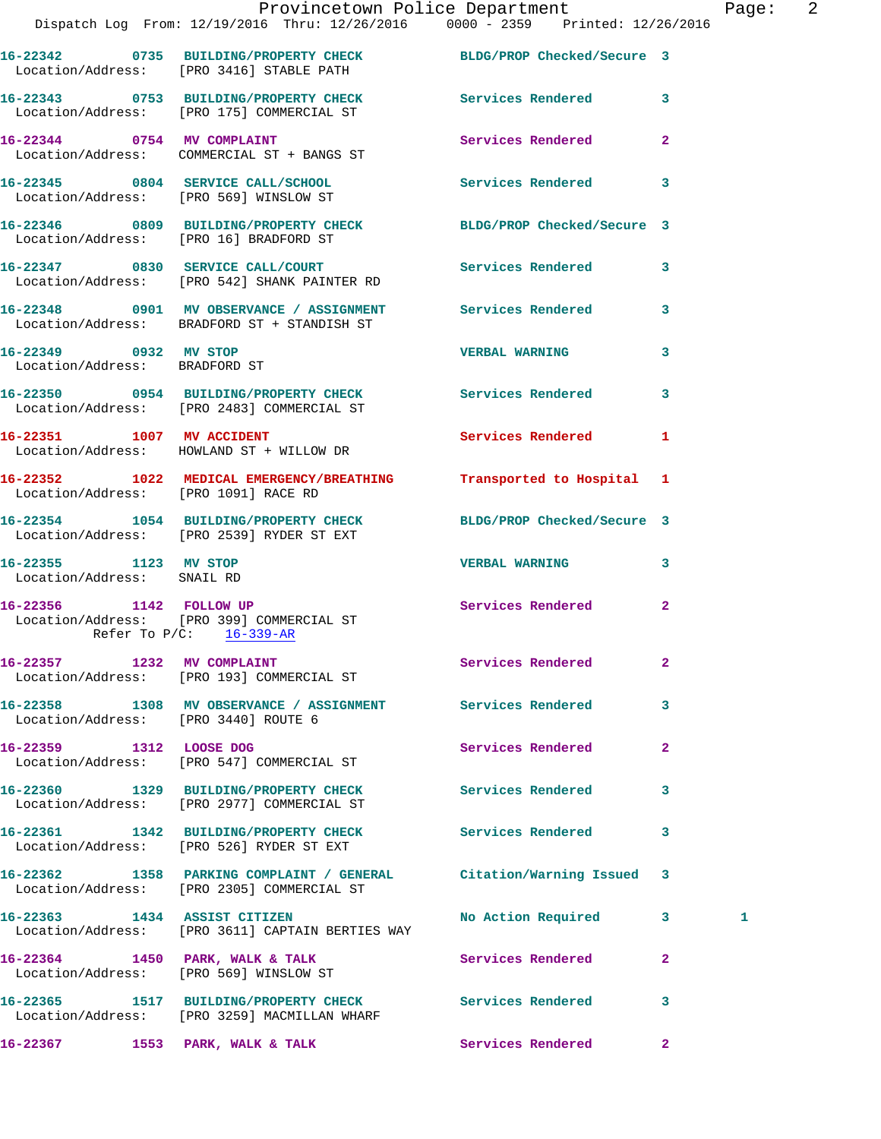|                                                        | Dispatch Log From: 12/19/2016 Thru: 12/26/2016 0000 - 2359 Printed: 12/26/2016                                | Provincetown Police Department Page: 2 |                |   |  |
|--------------------------------------------------------|---------------------------------------------------------------------------------------------------------------|----------------------------------------|----------------|---|--|
|                                                        | 16-22342 0735 BUILDING/PROPERTY CHECK BLDG/PROP Checked/Secure 3<br>Location/Address: [PRO 3416] STABLE PATH  |                                        |                |   |  |
|                                                        | 16-22343 0753 BUILDING/PROPERTY CHECK Services Rendered 3<br>Location/Address: [PRO 175] COMMERCIAL ST        |                                        |                |   |  |
|                                                        | 16-22344 0754 MV COMPLAINT<br>Location/Address: COMMERCIAL ST + BANGS ST                                      | Services Rendered 2                    |                |   |  |
|                                                        | 16-22345 0804 SERVICE CALL/SCHOOL 5 Services Rendered 3<br>Location/Address: [PRO 569] WINSLOW ST             |                                        |                |   |  |
|                                                        | 16-22346 0809 BUILDING/PROPERTY CHECK BLDG/PROP Checked/Secure 3<br>Location/Address: [PRO 16] BRADFORD ST    |                                        |                |   |  |
|                                                        | 16-22347 0830 SERVICE CALL/COURT Services Rendered 3<br>Location/Address: [PRO 542] SHANK PAINTER RD          |                                        |                |   |  |
|                                                        | 16-22348 0901 MV OBSERVANCE / ASSIGNMENT Services Rendered 3<br>Location/Address: BRADFORD ST + STANDISH ST   |                                        |                |   |  |
| 16-22349 0932 MV STOP<br>Location/Address: BRADFORD ST |                                                                                                               | <b>VERBAL WARNING</b>                  | 3              |   |  |
|                                                        | 16-22350 0954 BUILDING/PROPERTY CHECK Services Rendered 3<br>Location/Address: [PRO 2483] COMMERCIAL ST       |                                        |                |   |  |
|                                                        | 16-22351 1007 MV ACCIDENT<br>Location/Address: HOWLAND ST + WILLOW DR                                         | <b>Services Rendered</b>               | $\mathbf{1}$   |   |  |
| Location/Address: [PRO 1091] RACE RD                   | 16-22352 1022 MEDICAL EMERGENCY/BREATHING Transported to Hospital 1                                           |                                        |                |   |  |
|                                                        | 16-22354 1054 BUILDING/PROPERTY CHECK BLDG/PROP Checked/Secure 3<br>Location/Address: [PRO 2539] RYDER ST EXT |                                        |                |   |  |
| 16-22355 1123 MV STOP<br>Location/Address: SNAIL RD    |                                                                                                               | <b>VERBAL WARNING</b> 3                |                |   |  |
| Refer To $P/C:$ $\frac{16-339-AR}{1}$                  | 16-22356 1142 FOLLOW UP<br>Location/Address: [PRO 399] COMMERCIAL ST                                          | Services Rendered                      | $\mathbf{2}$   |   |  |
|                                                        | 16-22357 1232 MV COMPLAINT<br>Location/Address: [PRO 193] COMMERCIAL ST                                       | Services Rendered                      | $\mathbf{2}$   |   |  |
| Location/Address: [PRO 3440] ROUTE 6                   | 16-22358 1308 MV OBSERVANCE / ASSIGNMENT Services Rendered                                                    |                                        | $\mathbf{3}$   |   |  |
| 16-22359 1312 LOOSE DOG                                | Location/Address: [PRO 547] COMMERCIAL ST                                                                     | Services Rendered                      | $\overline{2}$ |   |  |
|                                                        | 16-22360 1329 BUILDING/PROPERTY CHECK Services Rendered<br>Location/Address: [PRO 2977] COMMERCIAL ST         |                                        | $\mathbf{3}$   |   |  |
|                                                        | 16-22361 1342 BUILDING/PROPERTY CHECK Services Rendered 3<br>Location/Address: [PRO 526] RYDER ST EXT         |                                        |                |   |  |
|                                                        | 16-22362 1358 PARKING COMPLAINT / GENERAL<br>Location/Address: [PRO 2305] COMMERCIAL ST                       | Citation/Warning Issued 3              |                |   |  |
|                                                        | 16-22363 1434 ASSIST CITIZEN<br>Location/Address: [PRO 3611] CAPTAIN BERTIES WAY                              | No Action Required 3                   |                | 1 |  |
|                                                        | 16-22364 1450 PARK, WALK & TALK<br>Location/Address: [PRO 569] WINSLOW ST                                     | Services Rendered                      | $\mathbf{2}$   |   |  |
|                                                        | 16-22365 1517 BUILDING/PROPERTY CHECK Services Rendered 3<br>Location/Address: [PRO 3259] MACMILLAN WHARF     |                                        |                |   |  |
|                                                        | 16-22367 1553 PARK, WALK & TALK                                                                               | Services Rendered                      | $\mathbf{2}$   |   |  |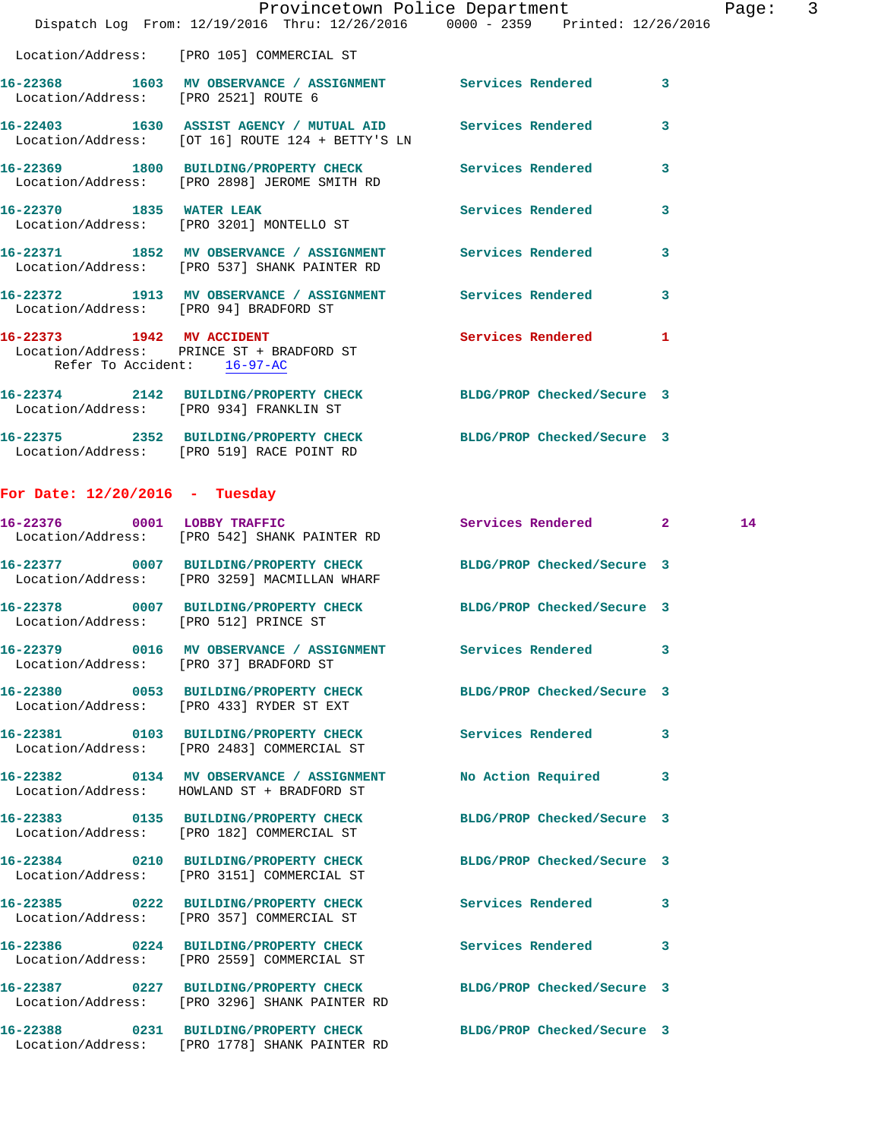|                                       | Dispatch Log From: 12/19/2016 Thru: 12/26/2016 0000 - 2359 Printed: 12/26/2016                                    | Provincetown Police Department |                         | Page: 3 |  |
|---------------------------------------|-------------------------------------------------------------------------------------------------------------------|--------------------------------|-------------------------|---------|--|
|                                       | Location/Address: [PRO 105] COMMERCIAL ST                                                                         |                                |                         |         |  |
| Location/Address: [PRO 2521] ROUTE 6  | 16-22368 1603 MV OBSERVANCE / ASSIGNMENT Services Rendered 3                                                      |                                |                         |         |  |
|                                       | 16-22403 1630 ASSIST AGENCY / MUTUAL AID Services Rendered<br>Location/Address: [OT 16] ROUTE 124 + BETTY'S LN    |                                | $\overline{\mathbf{3}}$ |         |  |
|                                       | 16-22369 1800 BUILDING/PROPERTY CHECK Services Rendered 3<br>Location/Address: [PRO 2898] JEROME SMITH RD         |                                |                         |         |  |
|                                       | 16-22370 1835 WATER LEAK<br>Location/Address: [PRO 3201] MONTELLO ST                                              | Services Rendered              | $\overline{\mathbf{3}}$ |         |  |
|                                       | 16-22371 1852 MV OBSERVANCE / ASSIGNMENT Services Rendered 3<br>Location/Address: [PRO 537] SHANK PAINTER RD      |                                |                         |         |  |
|                                       | 16-22372 1913 MV OBSERVANCE / ASSIGNMENT Services Rendered 3<br>Location/Address: [PRO 94] BRADFORD ST            |                                |                         |         |  |
| Refer To Accident: 16-97-AC           | 16-22373 1942 MV ACCIDENT<br>Location/Address: PRINCE ST + BRADFORD ST                                            | Services Rendered 1            |                         |         |  |
|                                       | 16-22374 2142 BUILDING/PROPERTY CHECK BLDG/PROP Checked/Secure 3<br>Location/Address: [PRO 934] FRANKLIN ST       |                                |                         |         |  |
|                                       | 16-22375 2352 BUILDING/PROPERTY CHECK BLDG/PROP Checked/Secure 3<br>Location/Address: [PRO 519] RACE POINT RD     |                                |                         |         |  |
| For Date: $12/20/2016$ - Tuesday      |                                                                                                                   |                                |                         |         |  |
|                                       | 16-22376 0001 LOBBY TRAFFIC<br>Location/Address: [PRO 542] SHANK PAINTER RD                                       | Services Rendered 2            |                         | 14      |  |
|                                       | 16-22377 0007 BUILDING/PROPERTY CHECK BLDG/PROP Checked/Secure 3<br>Location/Address: [PRO 3259] MACMILLAN WHARF  |                                |                         |         |  |
| Location/Address: [PRO 512] PRINCE ST | 16-22378 0007 BUILDING/PROPERTY CHECK BLDG/PROP Checked/Secure 3                                                  |                                |                         |         |  |
|                                       | 16-22379 0016 MV OBSERVANCE / ASSIGNMENT<br>Location/Address: [PRO 37] BRADFORD ST                                | Services Rendered 3            |                         |         |  |
|                                       | 16-22380 0053 BUILDING/PROPERTY CHECK BLDG/PROP Checked/Secure 3<br>Location/Address: [PRO 433] RYDER ST EXT      |                                |                         |         |  |
|                                       | 16-22381 0103 BUILDING/PROPERTY CHECK Services Rendered<br>Location/Address: [PRO 2483] COMMERCIAL ST             |                                | $\mathbf{3}$            |         |  |
|                                       | 16-22382 0134 MV OBSERVANCE / ASSIGNMENT<br>Location/Address: HOWLAND ST + BRADFORD ST                            | No Action Required             | 3                       |         |  |
|                                       | 16-22383 0135 BUILDING/PROPERTY CHECK BLDG/PROP Checked/Secure 3<br>Location/Address: [PRO 182] COMMERCIAL ST     |                                |                         |         |  |
|                                       | 16-22384 0210 BUILDING/PROPERTY CHECK BLDG/PROP Checked/Secure 3<br>Location/Address: [PRO 3151] COMMERCIAL ST    |                                |                         |         |  |
|                                       | 16-22385 0222 BUILDING/PROPERTY CHECK Services Rendered 3<br>Location/Address: [PRO 357] COMMERCIAL ST            |                                |                         |         |  |
|                                       | 16-22386 0224 BUILDING/PROPERTY CHECK<br>Location/Address: [PRO 2559] COMMERCIAL ST                               | <b>Services Rendered</b>       | 3                       |         |  |
|                                       | 16-22387 0227 BUILDING/PROPERTY CHECK BLDG/PROP Checked/Secure 3<br>Location/Address: [PRO 3296] SHANK PAINTER RD |                                |                         |         |  |
|                                       | 16-22388 0231 BUILDING/PROPERTY CHECK BLDG/PROP Checked/Secure 3<br>Location/Address: [PRO 1778] SHANK PAINTER RD |                                |                         |         |  |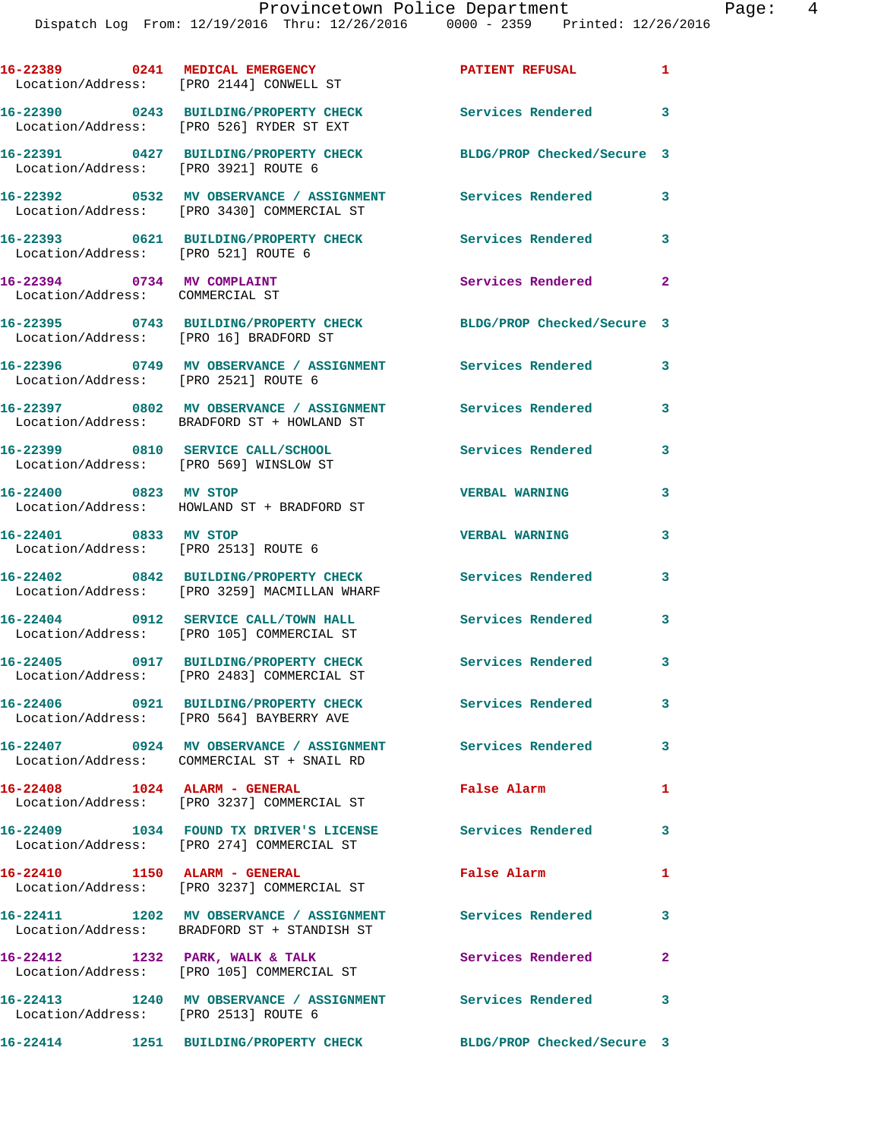|                                                               | 16-22389 0241 MEDICAL EMERGENCY<br>Location/Address: [PRO 2144] CONWELL ST                               | <b>PATIENT REFUSAL</b>               | $\mathbf{1}$ |
|---------------------------------------------------------------|----------------------------------------------------------------------------------------------------------|--------------------------------------|--------------|
|                                                               | 16-22390 0243 BUILDING/PROPERTY CHECK<br>Location/Address: [PRO 526] RYDER ST EXT                        | Services Rendered 3                  |              |
|                                                               | 16-22391 0427 BUILDING/PROPERTY CHECK<br>Location/Address: [PRO 3921] ROUTE 6                            | BLDG/PROP Checked/Secure 3           |              |
|                                                               | 16-22392 0532 MV OBSERVANCE / ASSIGNMENT Services Rendered<br>Location/Address: [PRO 3430] COMMERCIAL ST |                                      | 3            |
|                                                               | 16-22393 0621 BUILDING/PROPERTY CHECK<br>Location/Address: [PRO 521] ROUTE 6                             | <b>Services Rendered</b>             | 3            |
| 16-22394 0734 MV COMPLAINT<br>Location/Address: COMMERCIAL ST |                                                                                                          | Services Rendered                    | $\mathbf{2}$ |
|                                                               | 16-22395 0743 BUILDING/PROPERTY CHECK<br>Location/Address: [PRO 16] BRADFORD ST                          | BLDG/PROP Checked/Secure 3           |              |
|                                                               | 16-22396 0749 MV OBSERVANCE / ASSIGNMENT Services Rendered<br>Location/Address: [PRO 2521] ROUTE 6       |                                      | 3            |
|                                                               | 16-22397 0802 MV OBSERVANCE / ASSIGNMENT<br>Location/Address: BRADFORD ST + HOWLAND ST                   | Services Rendered                    | 3            |
|                                                               | 16-22399 0810 SERVICE CALL/SCHOOL<br>Location/Address: [PRO 569] WINSLOW ST                              | Services Rendered                    | 3            |
| 16-22400 0823 MV STOP                                         | Location/Address: HOWLAND ST + BRADFORD ST                                                               | <b>VERBAL WARNING</b>                | 3            |
| 16-22401 0833 MV STOP                                         | Location/Address: [PRO 2513] ROUTE 6                                                                     | <b>VERBAL WARNING</b>                | 3            |
|                                                               | 16-22402 0842 BUILDING/PROPERTY CHECK<br>Location/Address: [PRO 3259] MACMILLAN WHARF                    | <b>Services Rendered</b>             | 3            |
|                                                               | 16-22404 0912 SERVICE CALL/TOWN HALL<br>Location/Address: [PRO 105] COMMERCIAL ST                        | Services Rendered                    | 3            |
|                                                               | 16-22405 0917 BUILDING/PROPERTY CHECK<br>Location/Address: [PRO 2483] COMMERCIAL ST                      | Services Rendered<br>$\sim$ $\sim$ 3 |              |
| 16-22406                                                      | 0921 BUILDING/PROPERTY CHECK<br>Location/Address: [PRO 564] BAYBERRY AVE                                 | Services Rendered                    | $\mathbf{3}$ |
|                                                               | 16-22407 0924 MV OBSERVANCE / ASSIGNMENT Services Rendered<br>Location/Address: COMMERCIAL ST + SNAIL RD |                                      | $\mathbf{3}$ |
|                                                               | 16-22408 1024 ALARM - GENERAL<br>Location/Address: [PRO 3237] COMMERCIAL ST                              | False Alarm                          | 1            |
|                                                               | 16-22409 1034 FOUND TX DRIVER'S LICENSE<br>Location/Address: [PRO 274] COMMERCIAL ST                     | Services Rendered                    | 3            |
|                                                               | 16-22410 1150 ALARM - GENERAL<br>Location/Address: [PRO 3237] COMMERCIAL ST                              | False Alarm                          | 1            |
|                                                               | 16-22411 1202 MV OBSERVANCE / ASSIGNMENT<br>Location/Address: BRADFORD ST + STANDISH ST                  | Services Rendered                    | 3            |
|                                                               | 16-22412 1232 PARK, WALK & TALK<br>Location/Address: [PRO 105] COMMERCIAL ST                             | Services Rendered                    | $\mathbf{2}$ |
|                                                               | 16-22413 1240 MV OBSERVANCE / ASSIGNMENT Services Rendered 3<br>Location/Address: [PRO 2513] ROUTE 6     |                                      |              |
|                                                               | 16-22414 1251 BUILDING/PROPERTY CHECK BLDG/PROP Checked/Secure 3                                         |                                      |              |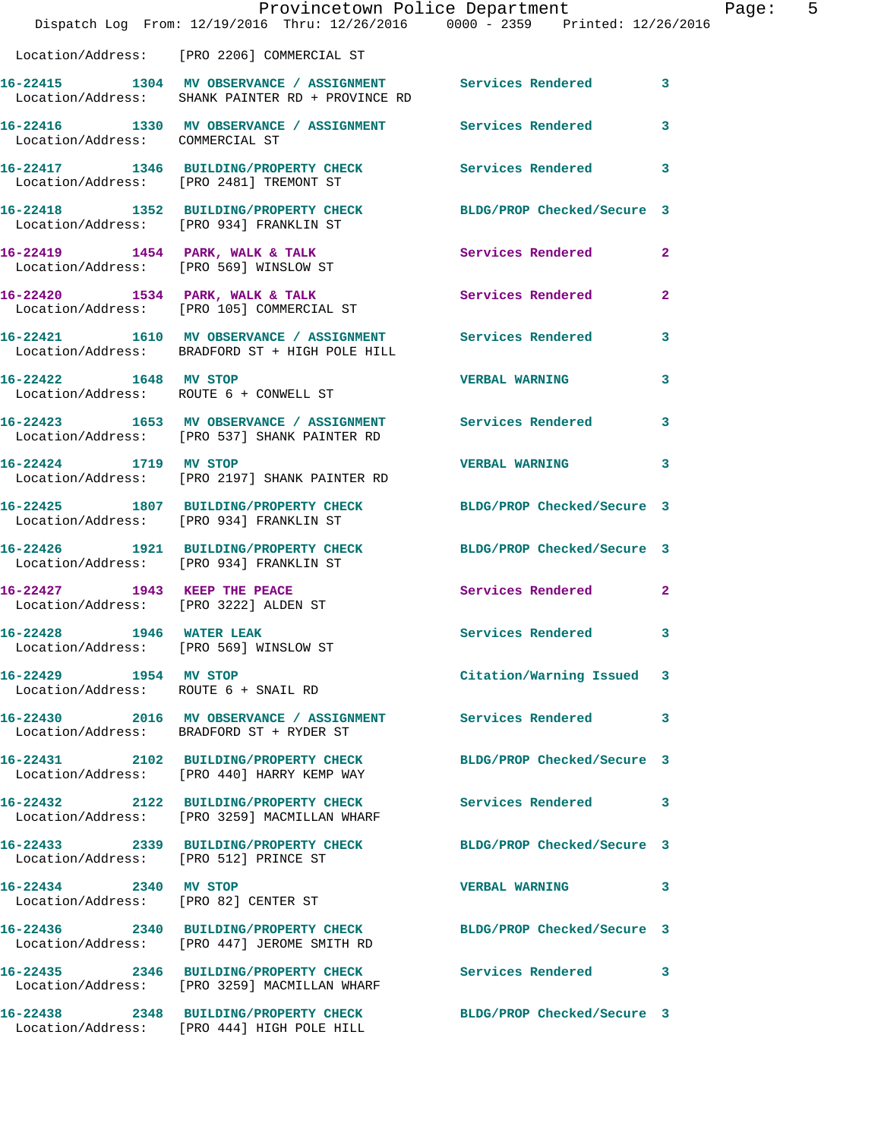|                                                               | Dispatch Log From: 12/19/2016 Thru: 12/26/2016 0000 - 2359 Printed: 12/26/2016                                   | Provincetown Police Department | Page: 5      |
|---------------------------------------------------------------|------------------------------------------------------------------------------------------------------------------|--------------------------------|--------------|
|                                                               | Location/Address: [PRO 2206] COMMERCIAL ST                                                                       |                                |              |
|                                                               | 16-22415 1304 MV OBSERVANCE / ASSIGNMENT Services Rendered 3<br>Location/Address: SHANK PAINTER RD + PROVINCE RD |                                |              |
| Location/Address: COMMERCIAL ST                               | 16-22416 1330 MV OBSERVANCE / ASSIGNMENT Services Rendered                                                       |                                | 3            |
|                                                               | 16-22417 1346 BUILDING/PROPERTY CHECK Services Rendered 3<br>Location/Address: [PRO 2481] TREMONT ST             |                                |              |
|                                                               | 16-22418 1352 BUILDING/PROPERTY CHECK BLDG/PROP Checked/Secure 3<br>Location/Address: [PRO 934] FRANKLIN ST      |                                |              |
|                                                               | 16-22419 1454 PARK, WALK & TALK 1998 Services Rendered 2<br>Location/Address: [PRO 569] WINSLOW ST               |                                |              |
|                                                               | 16-22420 1534 PARK, WALK & TALK<br>Location/Address: [PRO 105] COMMERCIAL ST                                     | Services Rendered              | $\mathbf{2}$ |
|                                                               | 16-22421 1610 MV OBSERVANCE / ASSIGNMENT Services Rendered<br>Location/Address: BRADFORD ST + HIGH POLE HILL     |                                | 3            |
|                                                               | 16-22422 1648 MV STOP<br>Location/Address: ROUTE 6 + CONWELL ST                                                  | <b>VERBAL WARNING</b>          | 3            |
|                                                               | 16-22423 1653 MV OBSERVANCE / ASSIGNMENT Services Rendered<br>Location/Address: [PRO 537] SHANK PAINTER RD       |                                | 3            |
|                                                               | 16-22424 1719 MV STOP<br>Location/Address: [PRO 2197] SHANK PAINTER RD                                           | VERBAL WARNING 3               |              |
|                                                               | 16-22425 1807 BUILDING/PROPERTY CHECK BLDG/PROP Checked/Secure 3<br>Location/Address: [PRO 934] FRANKLIN ST      |                                |              |
|                                                               | 16-22426 1921 BUILDING/PROPERTY CHECK BLDG/PROP Checked/Secure 3<br>Location/Address: [PRO 934] FRANKLIN ST      |                                |              |
| Location/Address: [PRO 3222] ALDEN ST                         | 16-22427 1943 KEEP THE PEACE                                                                                     | Services Rendered              | $\mathbf{2}$ |
| 1946 WATER LEAK<br>16-22428                                   | Location/Address: [PRO 569] WINSLOW ST                                                                           | Services Rendered 3            |              |
| 16-22429 1954 MV STOP<br>Location/Address: ROUTE 6 + SNAIL RD |                                                                                                                  | Citation/Warning Issued 3      |              |
|                                                               | 16-22430 2016 MV OBSERVANCE / ASSIGNMENT Services Rendered 3<br>Location/Address: BRADFORD ST + RYDER ST         |                                |              |
|                                                               | 16-22431 2102 BUILDING/PROPERTY CHECK BLDG/PROP Checked/Secure 3<br>Location/Address: [PRO 440] HARRY KEMP WAY   |                                |              |
|                                                               | 16-22432 2122 BUILDING/PROPERTY CHECK<br>Location/Address: [PRO 3259] MACMILLAN WHARF                            | Services Rendered 3            |              |
| Location/Address: [PRO 512] PRINCE ST                         | 16-22433 2339 BUILDING/PROPERTY CHECK BLDG/PROP Checked/Secure 3                                                 |                                |              |
| 16-22434 2340 MV STOP                                         | Location/Address: [PRO 82] CENTER ST                                                                             | VERBAL WARNING 3               |              |
|                                                               | 16-22436 2340 BUILDING/PROPERTY CHECK<br>Location/Address: [PRO 447] JEROME SMITH RD                             | BLDG/PROP Checked/Secure 3     |              |
|                                                               | 16-22435 2346 BUILDING/PROPERTY CHECK Services Rendered 3<br>Location/Address: [PRO 3259] MACMILLAN WHARF        |                                |              |
|                                                               | 16-22438 2348 BUILDING/PROPERTY CHECK<br>Location/Address: [PRO 444] HIGH POLE HILL                              | BLDG/PROP Checked/Secure 3     |              |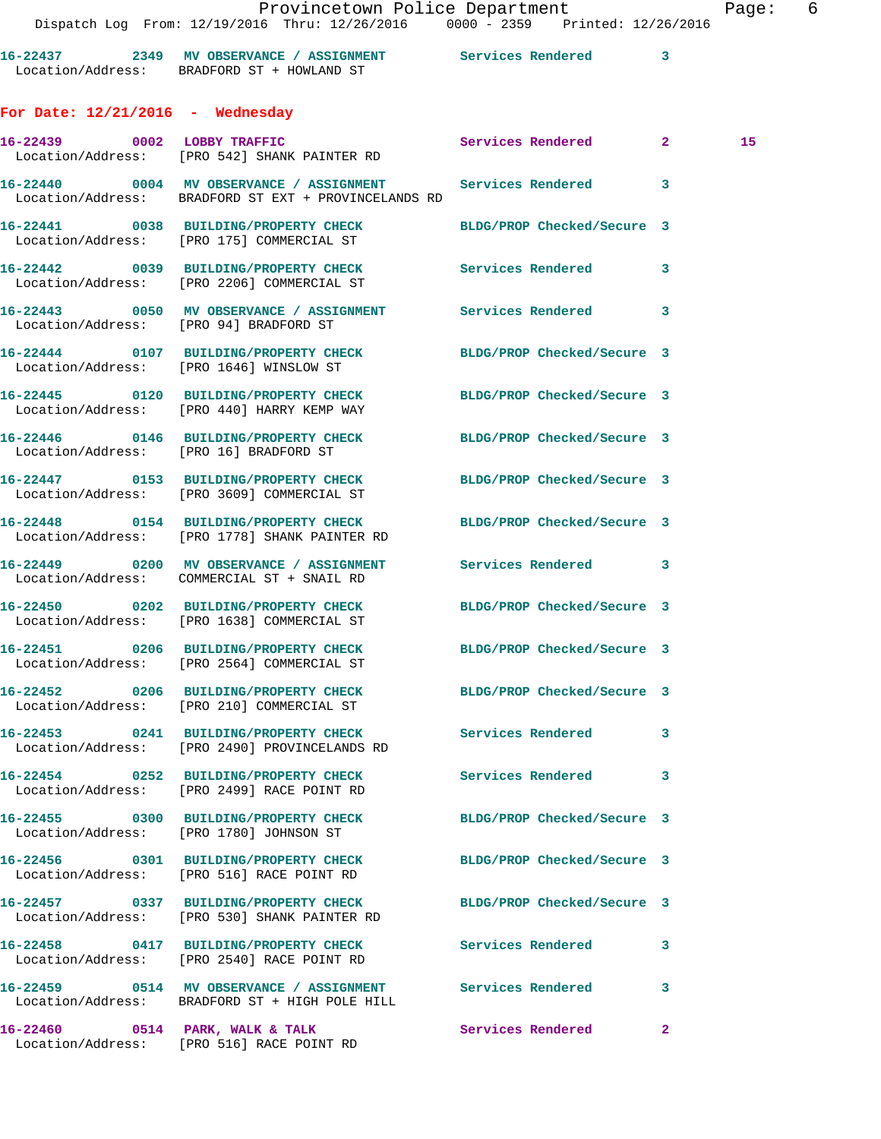|                                    | Dispatch Log From: 12/19/2016 Thru: 12/26/2016 0000 - 2359 Printed: 12/26/2016                                       | Provincetown Police Department | Page: | 6 |
|------------------------------------|----------------------------------------------------------------------------------------------------------------------|--------------------------------|-------|---|
|                                    | 16-22437 2349 MV OBSERVANCE / ASSIGNMENT Services Rendered 3<br>Location/Address: BRADFORD ST + HOWLAND ST           |                                |       |   |
| For Date: $12/21/2016$ - Wednesday |                                                                                                                      |                                |       |   |
|                                    | 16-22439 0002 LOBBY TRAFFIC Services Rendered 2<br>Location/Address: [PRO 542] SHANK PAINTER RD                      |                                | 15    |   |
|                                    | 16-22440 0004 MV OBSERVANCE / ASSIGNMENT Services Rendered 3<br>Location/Address: BRADFORD ST EXT + PROVINCELANDS RD |                                |       |   |
|                                    | 16-22441 0038 BUILDING/PROPERTY CHECK<br>Location/Address: [PRO 175] COMMERCIAL ST                                   | BLDG/PROP Checked/Secure 3     |       |   |
|                                    | 16-22442 0039 BUILDING/PROPERTY CHECK Services Rendered 3<br>Location/Address: [PRO 2206] COMMERCIAL ST              |                                |       |   |
|                                    | 16-22443 0050 MV OBSERVANCE / ASSIGNMENT Services Rendered 3<br>Location/Address: [PRO 94] BRADFORD ST               |                                |       |   |
|                                    | 16-22444 0107 BUILDING/PROPERTY CHECK BLDG/PROP Checked/Secure 3<br>Location/Address: [PRO 1646] WINSLOW ST          |                                |       |   |
|                                    | 16-22445 0120 BUILDING/PROPERTY CHECK BLDG/PROP Checked/Secure 3<br>Location/Address: [PRO 440] HARRY KEMP WAY       |                                |       |   |
|                                    | 16-22446 0146 BUILDING/PROPERTY CHECK BLDG/PROP Checked/Secure 3<br>Location/Address: [PRO 16] BRADFORD ST           |                                |       |   |
|                                    | 16-22447 0153 BUILDING/PROPERTY CHECK BLDG/PROP Checked/Secure 3<br>Location/Address: [PRO 3609] COMMERCIAL ST       |                                |       |   |
|                                    | 16-22448 0154 BUILDING/PROPERTY CHECK BLDG/PROP Checked/Secure 3<br>Location/Address: [PRO 1778] SHANK PAINTER RD    |                                |       |   |
|                                    | 16-22449 0200 MV OBSERVANCE / ASSIGNMENT Services Rendered 3<br>Location/Address: COMMERCIAL ST + SNAIL RD           |                                |       |   |
|                                    | 16-22450 0202 BUILDING/PROPERTY CHECK BLDG/PROP Checked/Secure 3<br>Location/Address: [PRO 1638] COMMERCIAL ST       |                                |       |   |
|                                    | 16-22451 0206 BUILDING/PROPERTY CHECK BLDG/PROP Checked/Secure 3<br>Location/Address: [PRO 2564] COMMERCIAL ST       |                                |       |   |
|                                    | 16-22452 0206 BUILDING/PROPERTY CHECK BLDG/PROP Checked/Secure 3<br>Location/Address: [PRO 210] COMMERCIAL ST        |                                |       |   |
|                                    | 16-22453 0241 BUILDING/PROPERTY CHECK Services Rendered 3<br>Location/Address: [PRO 2490] PROVINCELANDS RD           |                                |       |   |
|                                    | 16-22454 0252 BUILDING/PROPERTY CHECK<br>Location/Address: [PRO 2499] RACE POINT RD                                  | Services Rendered 3            |       |   |
|                                    | 16-22455 0300 BUILDING/PROPERTY CHECK BLDG/PROP Checked/Secure 3<br>Location/Address: [PRO 1780] JOHNSON ST          |                                |       |   |
|                                    | 16-22456 0301 BUILDING/PROPERTY CHECK BLDG/PROP Checked/Secure 3<br>Location/Address: [PRO 516] RACE POINT RD        |                                |       |   |
|                                    | 16-22457 0337 BUILDING/PROPERTY CHECK BLDG/PROP Checked/Secure 3<br>Location/Address: [PRO 530] SHANK PAINTER RD     |                                |       |   |
|                                    | 16-22458 0417 BUILDING/PROPERTY CHECK Services Rendered 3<br>Location/Address: [PRO 2540] RACE POINT RD              |                                |       |   |
|                                    | 16-22459 0514 MV OBSERVANCE / ASSIGNMENT Services Rendered 3<br>Location/Address: BRADFORD ST + HIGH POLE HILL       |                                |       |   |
|                                    |                                                                                                                      |                                |       |   |

Location/Address: [PRO 516] RACE POINT RD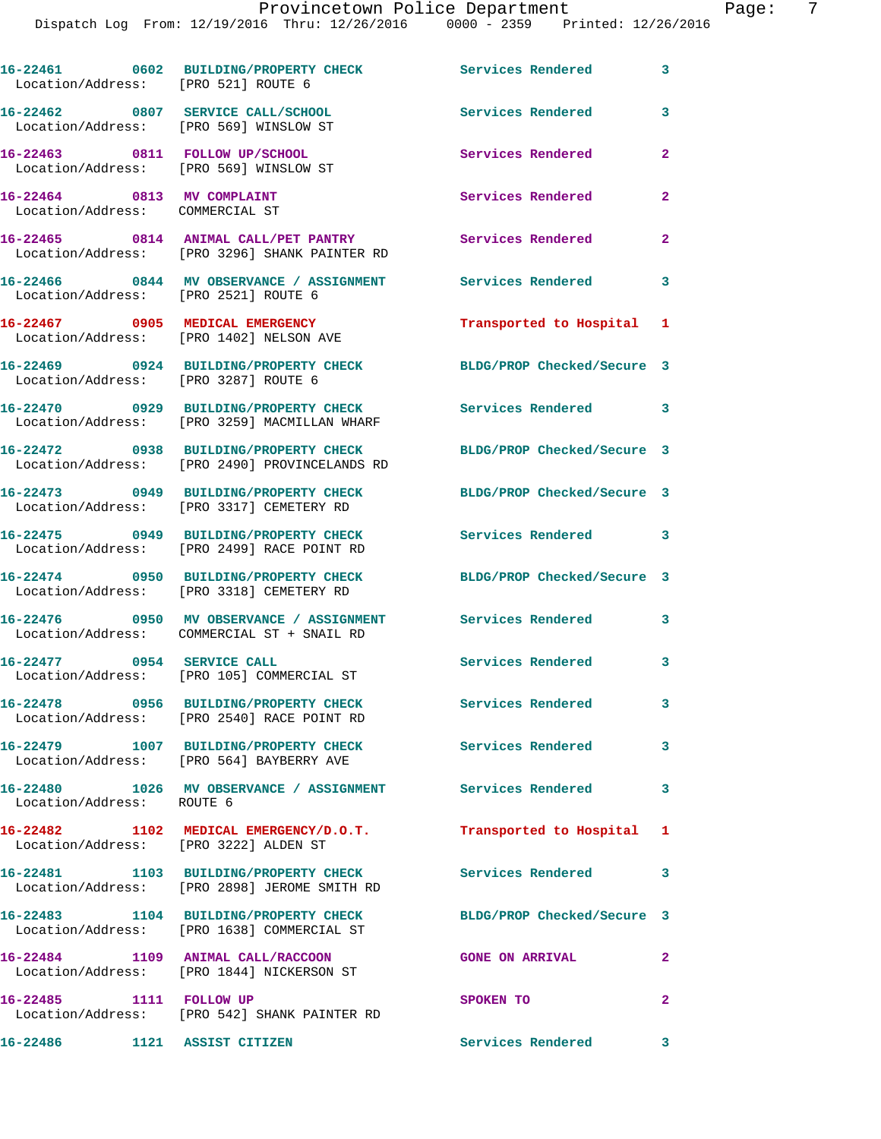**16-22461 0602 BUILDING/PROPERTY CHECK Services Rendered 3**  Location/Address: [PRO 521] ROUTE 6 **16-22462 0807 SERVICE CALL/SCHOOL Services Rendered 3**  Location/Address: [PRO 569] WINSLOW ST **16-22463 0811 FOLLOW UP/SCHOOL Services Rendered 2**  Location/Address: [PRO 569] WINSLOW ST **16-22464 0813 MV COMPLAINT Services Rendered 2**  Location/Address: COMMERCIAL ST **16-22465 0814 ANIMAL CALL/PET PANTRY Services Rendered 2**  Location/Address: [PRO 3296] SHANK PAINTER RD **16-22466 0844 MV OBSERVANCE / ASSIGNMENT Services Rendered 3**  Location/Address: [PRO 2521] ROUTE 6 **16-22467 0905 MEDICAL EMERGENCY Transported to Hospital 1**  Location/Address: [PRO 1402] NELSON AVE **16-22469 0924 BUILDING/PROPERTY CHECK BLDG/PROP Checked/Secure 3**  Location/Address: [PRO 3287] ROUTE 6 **16-22470 0929 BUILDING/PROPERTY CHECK Services Rendered 3**  Location/Address: [PRO 3259] MACMILLAN WHARF **16-22472 0938 BUILDING/PROPERTY CHECK BLDG/PROP Checked/Secure 3**  Location/Address: [PRO 2490] PROVINCELANDS RD **16-22473 0949 BUILDING/PROPERTY CHECK BLDG/PROP Checked/Secure 3**  Location/Address: [PRO 3317] CEMETERY RD **16-22475 0949 BUILDING/PROPERTY CHECK Services Rendered 3**  Location/Address: [PRO 2499] RACE POINT RD **16-22474 0950 BUILDING/PROPERTY CHECK BLDG/PROP Checked/Secure 3**  Location/Address: [PRO 3318] CEMETERY RD **16-22476 0950 MV OBSERVANCE / ASSIGNMENT Services Rendered 3**  Location/Address: COMMERCIAL ST + SNAIL RD 16-22477 0954 SERVICE CALL Services Rendered 3 Location/Address: [PRO 105] COMMERCIAL ST **16-22478 0956 BUILDING/PROPERTY CHECK Services Rendered 3**  Location/Address: [PRO 2540] RACE POINT RD **16-22479 1007 BUILDING/PROPERTY CHECK Services Rendered 3**  Location/Address: [PRO 564] BAYBERRY AVE **16-22480 1026 MV OBSERVANCE / ASSIGNMENT Services Rendered 3**  Location/Address: ROUTE 6 **16-22482 1102 MEDICAL EMERGENCY/D.O.T. Transported to Hospital 1**  Location/Address: [PRO 3222] ALDEN ST **16-22481 1103 BUILDING/PROPERTY CHECK Services Rendered 3**  Location/Address: [PRO 2898] JEROME SMITH RD **16-22483 1104 BUILDING/PROPERTY CHECK BLDG/PROP Checked/Secure 3**  Location/Address: [PRO 1638] COMMERCIAL ST **16-22484 1109 ANIMAL CALL/RACCOON GONE ON ARRIVAL 2**  Location/Address: [PRO 1844] NICKERSON ST **16-22485 1111 FOLLOW UP SPOKEN TO 2**  Location/Address: [PRO 542] SHANK PAINTER RD **16-22486 1121 ASSIST CITIZEN Services Rendered 3**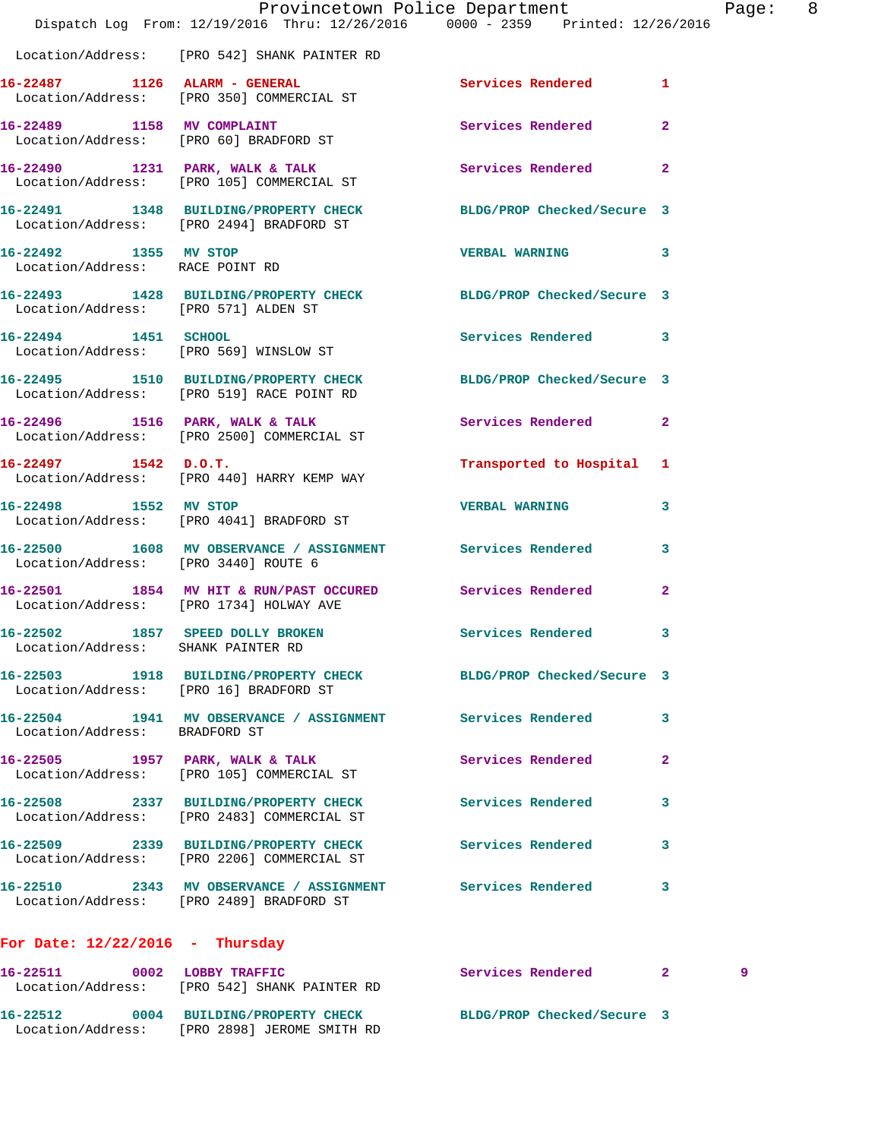|                                    | Provincetown Police Department<br>Dispatch Log From: 12/19/2016 Thru: 12/26/2016 0000 - 2359 Printed: 12/26/2016 |                           | Page: 8        |  |
|------------------------------------|------------------------------------------------------------------------------------------------------------------|---------------------------|----------------|--|
|                                    | Location/Address: [PRO 542] SHANK PAINTER RD                                                                     |                           |                |  |
|                                    | 16-22487 1126 ALARM - GENERAL Services Rendered 1<br>Location/Address: [PRO 350] COMMERCIAL ST                   |                           |                |  |
|                                    | 16-22489 1158 MV COMPLAINT<br>Location/Address: [PRO 60] BRADFORD ST                                             | Services Rendered 2       |                |  |
|                                    | 16-22490 1231 PARK, WALK & TALK Services Rendered<br>Location/Address: [PRO 105] COMMERCIAL ST                   |                           | $\mathbf{2}$   |  |
|                                    | 16-22491 1348 BUILDING/PROPERTY CHECK BLDG/PROP Checked/Secure 3<br>Location/Address: [PRO 2494] BRADFORD ST     |                           |                |  |
|                                    | 16-22492 1355 MV STOP<br>Location/Address: RACE POINT RD                                                         | <b>VERBAL WARNING 3</b>   |                |  |
|                                    | 16-22493   1428   BUILDING/PROPERTY CHECK   BLDG/PROP Checked/Secure 3   Location/Address: [PRO 571] ALDEN ST    |                           |                |  |
|                                    | 16-22494 1451 SCHOOL<br>Location/Address: [PRO 569] WINSLOW ST                                                   | Services Rendered 3       |                |  |
|                                    | 16-22495 1510 BUILDING/PROPERTY CHECK BLDG/PROP Checked/Secure 3<br>Location/Address: [PRO 519] RACE POINT RD    |                           |                |  |
|                                    | 16-22496 1516 PARK, WALK & TALK 1988 Services Rendered 2<br>Location/Address: [PRO 2500] COMMERCIAL ST           |                           |                |  |
|                                    | $16 - 22497$ 1542 D.O.T.<br>Location/Address: [PRO 440] HARRY KEMP WAY                                           | Transported to Hospital 1 |                |  |
| 16-22498 1552 MV STOP              | Location/Address: [PRO 4041] BRADFORD ST                                                                         | <b>VERBAL WARNING</b>     | 3              |  |
|                                    | 16-22500 1608 MV OBSERVANCE / ASSIGNMENT Services Rendered<br>Location/Address: [PRO 3440] ROUTE 6               |                           | 3              |  |
|                                    | 16-22501 1854 MV HIT & RUN/PAST OCCURED Services Rendered<br>Location/Address: [PRO 1734] HOLWAY AVE             |                           | $\overline{2}$ |  |
| Location/Address: SHANK PAINTER RD | 16-22502 1857 SPEED DOLLY BROKEN Services Rendered                                                               |                           | 3              |  |
|                                    | 16-22503 1918 BUILDING/PROPERTY CHECK BLDG/PROP Checked/Secure 3<br>Location/Address: [PRO 16] BRADFORD ST       |                           |                |  |
| Location/Address: BRADFORD ST      | 16-22504 1941 MV OBSERVANCE / ASSIGNMENT Services Rendered                                                       |                           | 3              |  |
|                                    | 16-22505 1957 PARK, WALK & TALK<br>Location/Address: [PRO 105] COMMERCIAL ST                                     | Services Rendered         | 2              |  |
|                                    | 16-22508 2337 BUILDING/PROPERTY CHECK<br>Location/Address: [PRO 2483] COMMERCIAL ST                              | Services Rendered         | 3              |  |
|                                    | 16-22509 2339 BUILDING/PROPERTY CHECK Services Rendered<br>Location/Address: [PRO 2206] COMMERCIAL ST            |                           | 3              |  |
|                                    | 16-22510 2343 MV OBSERVANCE / ASSIGNMENT Services Rendered<br>Location/Address: [PRO 2489] BRADFORD ST           |                           | 3              |  |
| For Date: $12/22/2016$ - Thursday  |                                                                                                                  |                           |                |  |
|                                    | 16-22511 0002 LOBBY TRAFFIC<br>Location/Address: [PRO 542] SHANK PAINTER RD                                      | Services Rendered 2       | 9              |  |
|                                    | 16-22512 0004 BUILDING/PROPERTY CHECK BLDG/PROP Checked/Secure 3                                                 |                           |                |  |

Location/Address: [PRO 2898] JEROME SMITH RD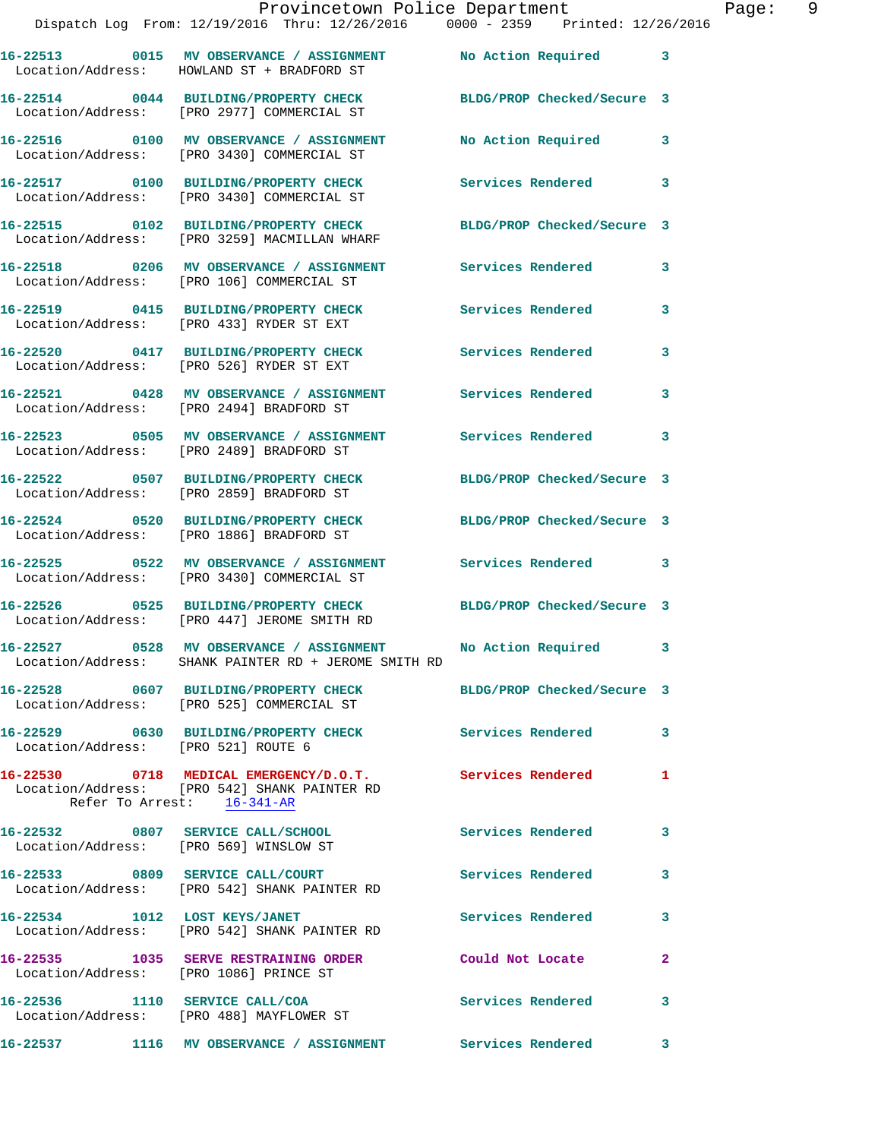|                                        | Provincetown Police Department<br>Dispatch Log From: 12/19/2016 Thru: 12/26/2016 0000 - 2359 Printed: 12/26/2016    |                            |              |
|----------------------------------------|---------------------------------------------------------------------------------------------------------------------|----------------------------|--------------|
|                                        |                                                                                                                     |                            |              |
|                                        | 16-22513 0015 MV OBSERVANCE / ASSIGNMENT No Action Required<br>Location/Address: HOWLAND ST + BRADFORD ST           |                            | 3            |
|                                        | 16-22514 0044 BUILDING/PROPERTY CHECK BLDG/PROP Checked/Secure 3<br>Location/Address: [PRO 2977] COMMERCIAL ST      |                            |              |
|                                        | 16-22516 0100 MV OBSERVANCE / ASSIGNMENT<br>Location/Address: [PRO 3430] COMMERCIAL ST                              | <b>No Action Required</b>  | 3            |
|                                        | 16-22517 0100 BUILDING/PROPERTY CHECK Services Rendered<br>Location/Address: [PRO 3430] COMMERCIAL ST               |                            | 3            |
|                                        | 16-22515 0102 BUILDING/PROPERTY CHECK<br>Location/Address: [PRO 3259] MACMILLAN WHARF                               | BLDG/PROP Checked/Secure 3 |              |
|                                        | 16-22518 0206 MV OBSERVANCE / ASSIGNMENT Services Rendered<br>Location/Address: [PRO 106] COMMERCIAL ST             |                            | 3            |
|                                        | 16-22519 0415 BUILDING/PROPERTY CHECK<br>Location/Address: [PRO 433] RYDER ST EXT                                   | <b>Services Rendered</b>   | 3            |
|                                        | 16-22520 0417 BUILDING/PROPERTY CHECK<br>Location/Address: [PRO 526] RYDER ST EXT                                   | <b>Services Rendered</b>   | 3            |
|                                        | 16-22521 0428 MV OBSERVANCE / ASSIGNMENT Services Rendered<br>Location/Address: [PRO 2494] BRADFORD ST              |                            | 3            |
|                                        | 16-22523 0505 MV OBSERVANCE / ASSIGNMENT Services Rendered<br>Location/Address: [PRO 2489] BRADFORD ST              |                            | 3            |
|                                        | 16-22522 0507 BUILDING/PROPERTY CHECK BLDG/PROP Checked/Secure 3<br>Location/Address: [PRO 2859] BRADFORD ST        |                            |              |
|                                        | 16-22524 0520 BUILDING/PROPERTY CHECK<br>Location/Address: [PRO 1886] BRADFORD ST                                   | BLDG/PROP Checked/Secure 3 |              |
|                                        | 16-22525 0522 MV OBSERVANCE / ASSIGNMENT<br>Location/Address: [PRO 3430] COMMERCIAL ST                              | Services Rendered          | 3            |
|                                        | 16-22526 0525 BUILDING/PROPERTY CHECK<br>Location/Address: [PRO 447] JEROME SMITH RD                                | BLDG/PROP Checked/Secure 3 |              |
|                                        | 16-22527 0528 MV OBSERVANCE / ASSIGNMENT No Action Required<br>Location/Address: SHANK PAINTER RD + JEROME SMITH RD |                            |              |
|                                        | 16-22528 0607 BUILDING/PROPERTY CHECK BLDG/PROP Checked/Secure 3<br>Location/Address: [PRO 525] COMMERCIAL ST       |                            |              |
| Location/Address: [PRO 521] ROUTE 6    | 16-22529 0630 BUILDING/PROPERTY CHECK                                                                               | Services Rendered          | 3            |
| Refer To Arrest: 16-341-AR             | 16-22530 0718 MEDICAL EMERGENCY/D.O.T. Services Rendered<br>Location/Address: [PRO 542] SHANK PAINTER RD            |                            | 1            |
|                                        | 16-22532 0807 SERVICE CALL/SCHOOL<br>Location/Address: [PRO 569] WINSLOW ST                                         | Services Rendered          | 3            |
|                                        | 16-22533 0809 SERVICE CALL/COURT<br>Location/Address: [PRO 542] SHANK PAINTER RD                                    | <b>Services Rendered</b>   | 3            |
| 16-22534 1012 LOST KEYS/JANET          | Location/Address: [PRO 542] SHANK PAINTER RD                                                                        | Services Rendered          | 3            |
| Location/Address: [PRO 1086] PRINCE ST | 16-22535 1035 SERVE RESTRAINING ORDER                                                                               | Could Not Locate           | $\mathbf{2}$ |
|                                        | 16-22536 1110 SERVICE CALL/COA<br>Location/Address: [PRO 488] MAYFLOWER ST                                          | Services Rendered          | 3            |
|                                        |                                                                                                                     |                            | 3            |

Page: 9<br>16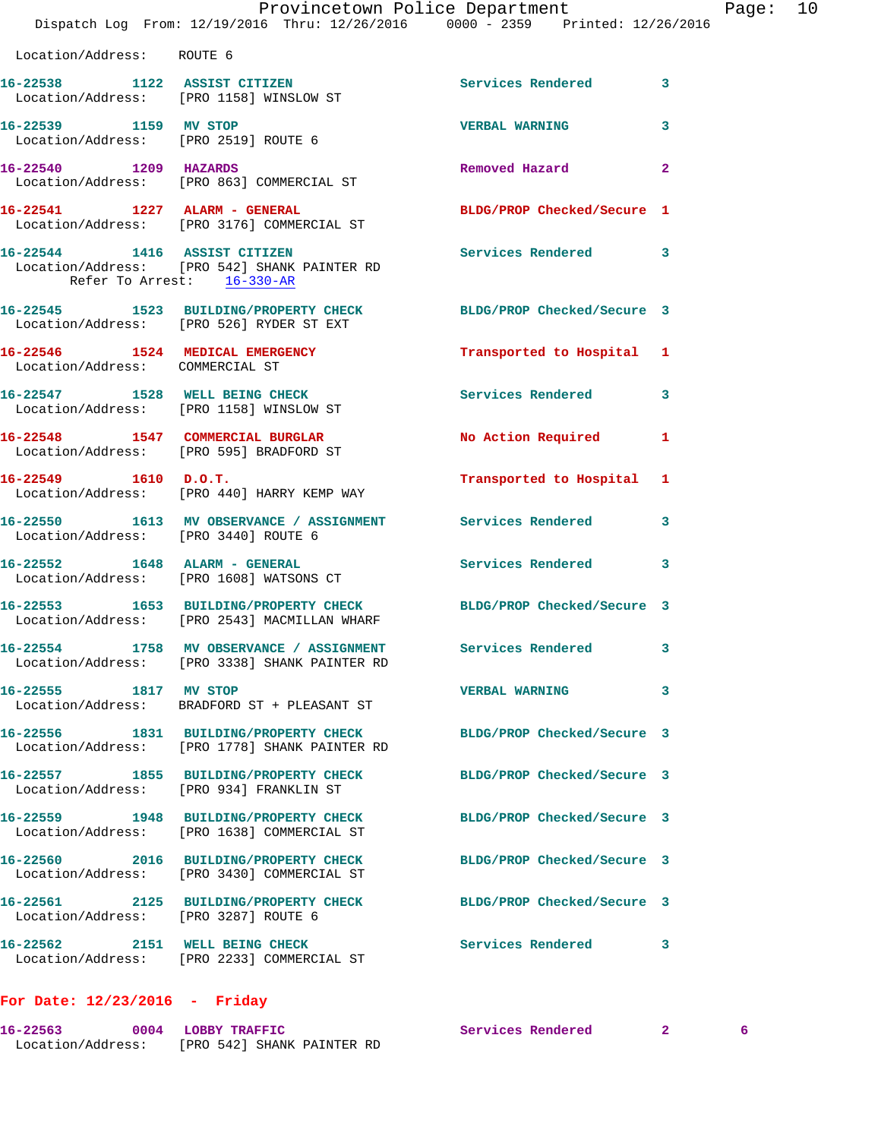|                                      | Provincetown Police Department<br>Dispatch Log From: 12/19/2016 Thru: 12/26/2016 0000 - 2359 Printed: 12/26/2016 |                            | Page: 10     |
|--------------------------------------|------------------------------------------------------------------------------------------------------------------|----------------------------|--------------|
| Location/Address: ROUTE 6            |                                                                                                                  |                            |              |
|                                      | 16-22538 1122 ASSIST CITIZEN<br>Location/Address: [PRO 1158] WINSLOW ST                                          | Services Rendered 3        |              |
| 16-22539 1159 MV STOP                | Location/Address: [PRO 2519] ROUTE 6                                                                             | <b>VERBAL WARNING</b>      | 3            |
|                                      | 16-22540 1209 HAZARDS<br>Location/Address: [PRO 863] COMMERCIAL ST                                               | Removed Hazard             | $\mathbf{2}$ |
|                                      | 16-22541 1227 ALARM - GENERAL<br>Location/Address: [PRO 3176] COMMERCIAL ST                                      | BLDG/PROP Checked/Secure 1 |              |
| Refer To Arrest: 16-330-AR           | 16-22544 1416 ASSIST CITIZEN<br>Location/Address: [PRO 542] SHANK PAINTER RD                                     | Services Rendered 3        |              |
|                                      | 16-22545 1523 BUILDING/PROPERTY CHECK BLDG/PROP Checked/Secure 3<br>Location/Address: [PRO 526] RYDER ST EXT     |                            |              |
| Location/Address: COMMERCIAL ST      | 16-22546 1524 MEDICAL EMERGENCY                                                                                  | Transported to Hospital 1  |              |
|                                      | 16-22547 1528 WELL BEING CHECK<br>Location/Address: [PRO 1158] WINSLOW ST                                        | <b>Services Rendered</b>   | 3            |
|                                      | 16-22548 1547 COMMERCIAL BURGLAR<br>Location/Address: [PRO 595] BRADFORD ST                                      | No Action Required 1       |              |
|                                      | $16-22549$ 1610 D.O.T.<br>Location/Address: [PRO 440] HARRY KEMP WAY                                             | Transported to Hospital 1  |              |
| Location/Address: [PRO 3440] ROUTE 6 | 16-22550 1613 MV OBSERVANCE / ASSIGNMENT Services Rendered                                                       |                            | $\mathbf{3}$ |
|                                      | 16-22552 1648 ALARM - GENERAL<br>Location/Address: [PRO 1608] WATSONS CT                                         | Services Rendered          | 3            |
|                                      | 16-22553 1653 BUILDING/PROPERTY CHECK BLDG/PROP Checked/Secure 3<br>Location/Address: [PRO 2543] MACMILLAN WHARF |                            |              |
|                                      | 16-22554 1758 MV OBSERVANCE / ASSIGNMENT<br>Location/Address: [PRO 3338] SHANK PAINTER RD                        | Services Rendered          | 3            |
| 16-22555 1817 MV STOP                | Location/Address: BRADFORD ST + PLEASANT ST                                                                      | <b>VERBAL WARNING</b>      | 3            |
|                                      | 16-22556 1831 BUILDING/PROPERTY CHECK<br>Location/Address: [PRO 1778] SHANK PAINTER RD                           | BLDG/PROP Checked/Secure 3 |              |
|                                      | 16-22557 1855 BUILDING/PROPERTY CHECK<br>Location/Address: [PRO 934] FRANKLIN ST                                 | BLDG/PROP Checked/Secure 3 |              |
|                                      | 16-22559 1948 BUILDING/PROPERTY CHECK<br>Location/Address: [PRO 1638] COMMERCIAL ST                              | BLDG/PROP Checked/Secure 3 |              |
|                                      | 16-22560 2016 BUILDING/PROPERTY CHECK BLDG/PROP Checked/Secure 3<br>Location/Address: [PRO 3430] COMMERCIAL ST   |                            |              |
| Location/Address: [PRO 3287] ROUTE 6 | 16-22561 2125 BUILDING/PROPERTY CHECK BLDG/PROP Checked/Secure 3                                                 |                            |              |
|                                      | 16-22562 2151 WELL BEING CHECK<br>Location/Address: [PRO 2233] COMMERCIAL ST                                     | Services Rendered 3        |              |
|                                      |                                                                                                                  |                            |              |

## **For Date: 12/23/2016 - Friday**

| 16-22563          | 0004 LOBBY TRAFFIC         |  | Services Rendered |  |  |  |
|-------------------|----------------------------|--|-------------------|--|--|--|
| Location/Address: | [PRO 542] SHANK PAINTER RD |  |                   |  |  |  |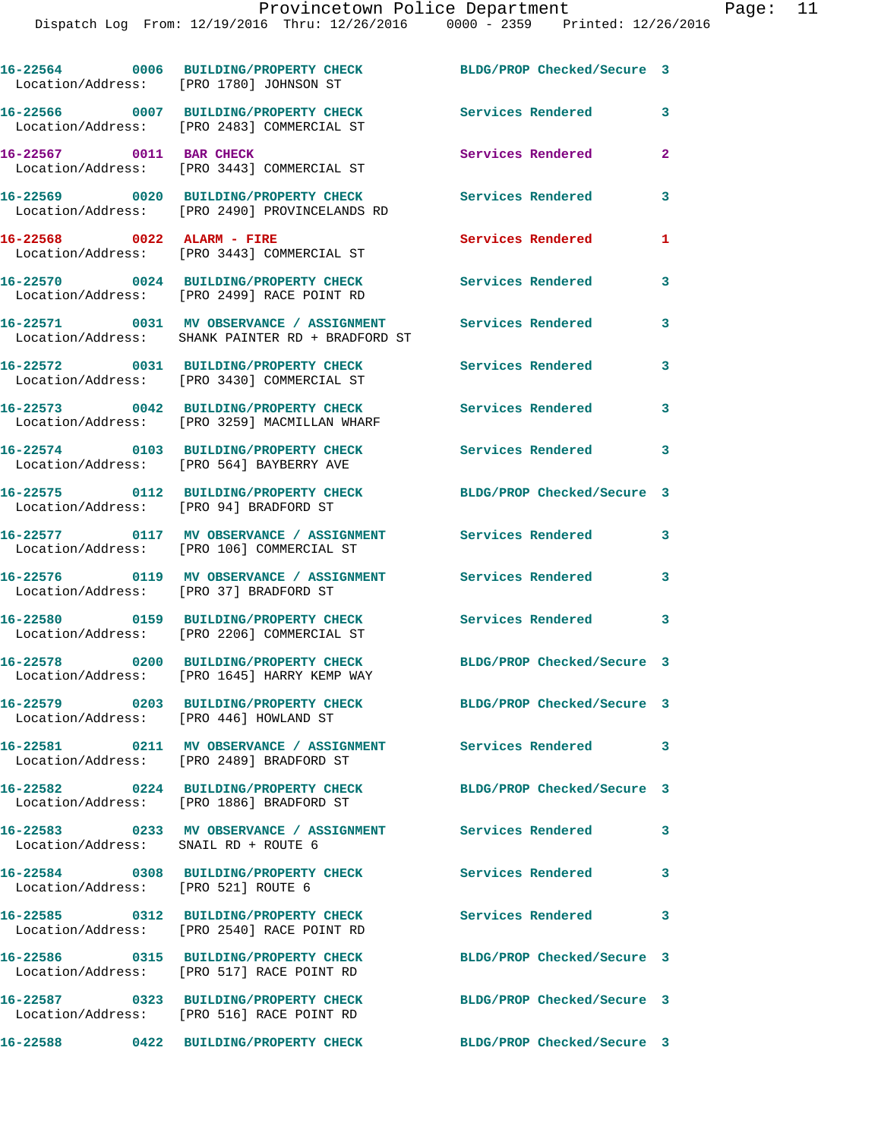**16-22564 0006 BUILDING/PROPERTY CHECK BLDG/PROP Checked/Secure 3**  Location/Address: [PRO 1780] JOHNSON ST **16-22566 0007 BUILDING/PROPERTY CHECK Services Rendered 3**  Location/Address: [PRO 2483] COMMERCIAL ST **16-22567 0011 BAR CHECK Services Rendered 2**  Location/Address: [PRO 3443] COMMERCIAL ST **16-22569 0020 BUILDING/PROPERTY CHECK Services Rendered 3**  Location/Address: [PRO 2490] PROVINCELANDS RD **16-22568 0022 ALARM - FIRE Services Rendered 1**  Location/Address: [PRO 3443] COMMERCIAL ST **16-22570 0024 BUILDING/PROPERTY CHECK Services Rendered 3**  Location/Address: [PRO 2499] RACE POINT RD **16-22571 0031 MV OBSERVANCE / ASSIGNMENT Services Rendered 3**  Location/Address: SHANK PAINTER RD + BRADFORD ST **16-22572 0031 BUILDING/PROPERTY CHECK Services Rendered 3**  Location/Address: [PRO 3430] COMMERCIAL ST **16-22573 0042 BUILDING/PROPERTY CHECK Services Rendered 3**  Location/Address: [PRO 3259] MACMILLAN WHARF **16-22574 0103 BUILDING/PROPERTY CHECK Services Rendered 3**  Location/Address: [PRO 564] BAYBERRY AVE **16-22575 0112 BUILDING/PROPERTY CHECK BLDG/PROP Checked/Secure 3**  Location/Address: [PRO 94] BRADFORD ST **16-22577 0117 MV OBSERVANCE / ASSIGNMENT Services Rendered 3**  Location/Address: [PRO 106] COMMERCIAL ST **16-22576 0119 MV OBSERVANCE / ASSIGNMENT Services Rendered 3**  Location/Address: [PRO 37] BRADFORD ST **16-22580 0159 BUILDING/PROPERTY CHECK Services Rendered 3**  Location/Address: [PRO 2206] COMMERCIAL ST **16-22578 0200 BUILDING/PROPERTY CHECK BLDG/PROP Checked/Secure 3**  Location/Address: [PRO 1645] HARRY KEMP WAY **16-22579 0203 BUILDING/PROPERTY CHECK BLDG/PROP Checked/Secure 3**  Location/Address: [PRO 446] HOWLAND ST **16-22581 0211 MV OBSERVANCE / ASSIGNMENT Services Rendered 3**  Location/Address: [PRO 2489] BRADFORD ST **16-22582 0224 BUILDING/PROPERTY CHECK BLDG/PROP Checked/Secure 3**  Location/Address: [PRO 1886] BRADFORD ST **16-22583 0233 MV OBSERVANCE / ASSIGNMENT Services Rendered 3**  Location/Address: SNAIL RD + ROUTE 6 **16-22584 0308 BUILDING/PROPERTY CHECK Services Rendered 3**  Location/Address: [PRO 521] ROUTE 6 **16-22585 0312 BUILDING/PROPERTY CHECK Services Rendered 3**  Location/Address: [PRO 2540] RACE POINT RD **16-22586 0315 BUILDING/PROPERTY CHECK BLDG/PROP Checked/Secure 3**  Location/Address: [PRO 517] RACE POINT RD **16-22587 0323 BUILDING/PROPERTY CHECK BLDG/PROP Checked/Secure 3**  Location/Address: [PRO 516] RACE POINT RD **16-22588 0422 BUILDING/PROPERTY CHECK BLDG/PROP Checked/Secure 3**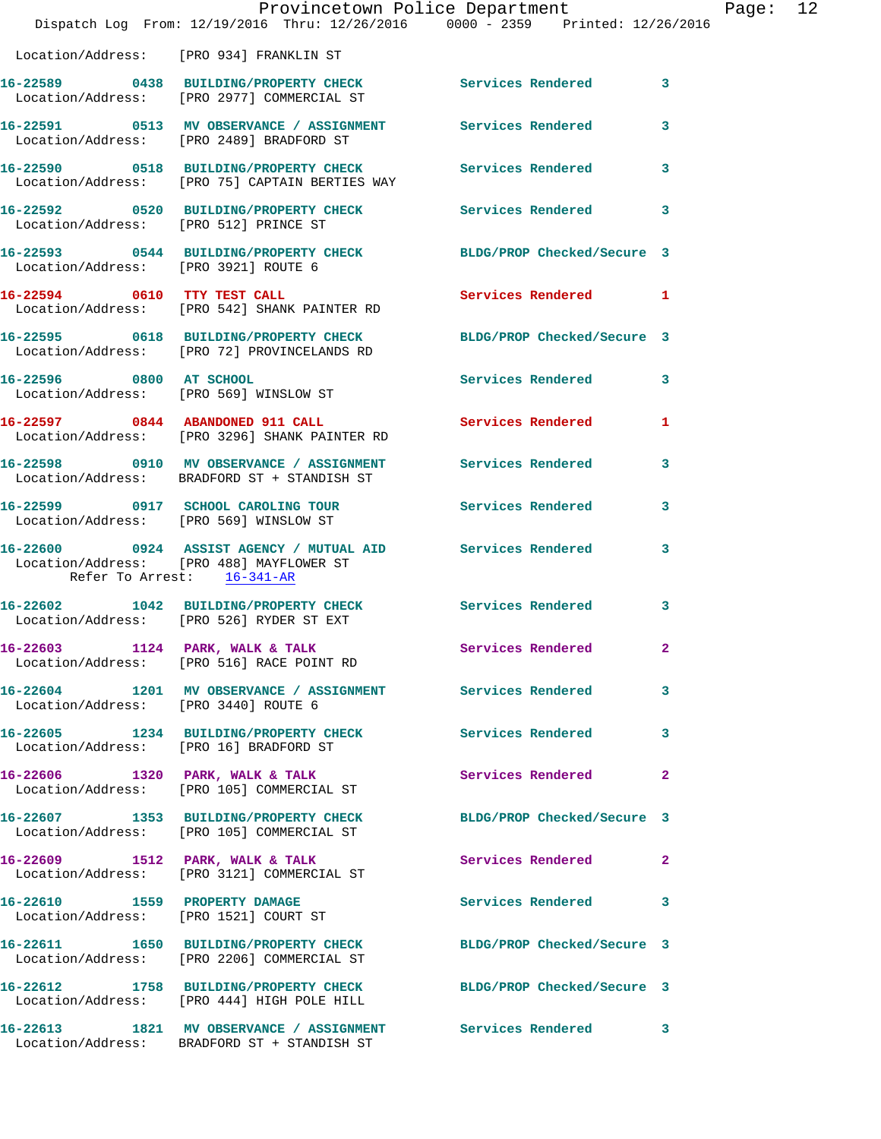|                                        | Provincetown Police Department The Mage: 12<br>Dispatch Log From: 12/19/2016 Thru: 12/26/2016 0000 - 2359 Printed: 12/26/2016 |                     |              |  |
|----------------------------------------|-------------------------------------------------------------------------------------------------------------------------------|---------------------|--------------|--|
|                                        | Location/Address: [PRO 934] FRANKLIN ST                                                                                       |                     |              |  |
|                                        | 16-22589 0438 BUILDING/PROPERTY CHECK Services Rendered 3<br>Location/Address: [PRO 2977] COMMERCIAL ST                       |                     |              |  |
|                                        | 16-22591 0513 MV OBSERVANCE / ASSIGNMENT Services Rendered 3<br>Location/Address: [PRO 2489] BRADFORD ST                      |                     |              |  |
|                                        | 16-22590 0518 BUILDING/PROPERTY CHECK Services Rendered 3<br>Location/Address: [PRO 75] CAPTAIN BERTIES WAY                   |                     |              |  |
|                                        | 16-22592 0520 BUILDING/PROPERTY CHECK Services Rendered 3<br>Location/Address: [PRO 512] PRINCE ST                            |                     |              |  |
|                                        | 16-22593 0544 BUILDING/PROPERTY CHECK BLDG/PROP Checked/Secure 3<br>Location/Address: [PRO 3921] ROUTE 6                      |                     |              |  |
|                                        | 16-22594 0610 TTY TEST CALL<br>Location/Address: [PRO 542] SHANK PAINTER RD                                                   | Services Rendered 1 |              |  |
|                                        | 16-22595 0618 BUILDING/PROPERTY CHECK BLDG/PROP Checked/Secure 3<br>Location/Address: [PRO 72] PROVINCELANDS RD               |                     |              |  |
|                                        | 16-22596 0800 AT SCHOOL<br>Location/Address: [PRO 569] WINSLOW ST                                                             | Services Rendered 3 |              |  |
|                                        | 16-22597 0844 ABANDONED 911 CALL Services Rendered 1<br>Location/Address: [PRO 3296] SHANK PAINTER RD                         |                     |              |  |
|                                        | 16-22598 0910 MV OBSERVANCE / ASSIGNMENT Services Rendered 3<br>Location/Address: BRADFORD ST + STANDISH ST                   |                     |              |  |
|                                        | 16-22599 0917 SCHOOL CAROLING TOUR Services Rendered 3<br>Location/Address: [PRO 569] WINSLOW ST                              |                     |              |  |
| Refer To Arrest: 16-341-AR             | 16-22600 0924 ASSIST AGENCY / MUTUAL AID Services Rendered 3<br>Location/Address: [PRO 488] MAYFLOWER ST                      |                     |              |  |
|                                        | 16-22602 1042 BUILDING/PROPERTY CHECK Services Rendered 3<br>Location/Address: [PRO 526] RYDER ST EXT                         |                     |              |  |
|                                        | 16-22603 1124 PARK, WALK & TALK<br>Location/Address: [PRO 516] RACE POINT RD                                                  | Services Rendered   | $\mathbf{2}$ |  |
| Location/Address: [PRO 3440] ROUTE 6   | 16-22604 1201 MV OBSERVANCE / ASSIGNMENT Services Rendered 3                                                                  |                     |              |  |
| Location/Address: [PRO 16] BRADFORD ST | 16-22605 1234 BUILDING/PROPERTY CHECK Services Rendered 3                                                                     |                     |              |  |
|                                        | 16-22606 1320 PARK, WALK & TALK<br>Location/Address: [PRO 105] COMMERCIAL ST                                                  | Services Rendered 2 |              |  |
|                                        | 16-22607 1353 BUILDING/PROPERTY CHECK BLDG/PROP Checked/Secure 3<br>Location/Address: [PRO 105] COMMERCIAL ST                 |                     |              |  |
|                                        | 16-22609 1512 PARK, WALK & TALK 1999 Services Rendered 2<br>Location/Address: [PRO 3121] COMMERCIAL ST                        |                     |              |  |
|                                        | 16-22610 1559 PROPERTY DAMAGE<br>Location/Address: [PRO 1521] COURT ST                                                        | Services Rendered 3 |              |  |
|                                        | 16-22611 1650 BUILDING/PROPERTY CHECK BLDG/PROP Checked/Secure 3<br>Location/Address: [PRO 2206] COMMERCIAL ST                |                     |              |  |
|                                        | 16-22612 1758 BUILDING/PROPERTY CHECK BLDG/PROP Checked/Secure 3<br>Location/Address: [PRO 444] HIGH POLE HILL                |                     |              |  |
|                                        | 16-22613 1821 MV OBSERVANCE / ASSIGNMENT Services Rendered 3<br>Location/Address: BRADFORD ST + STANDISH ST                   |                     |              |  |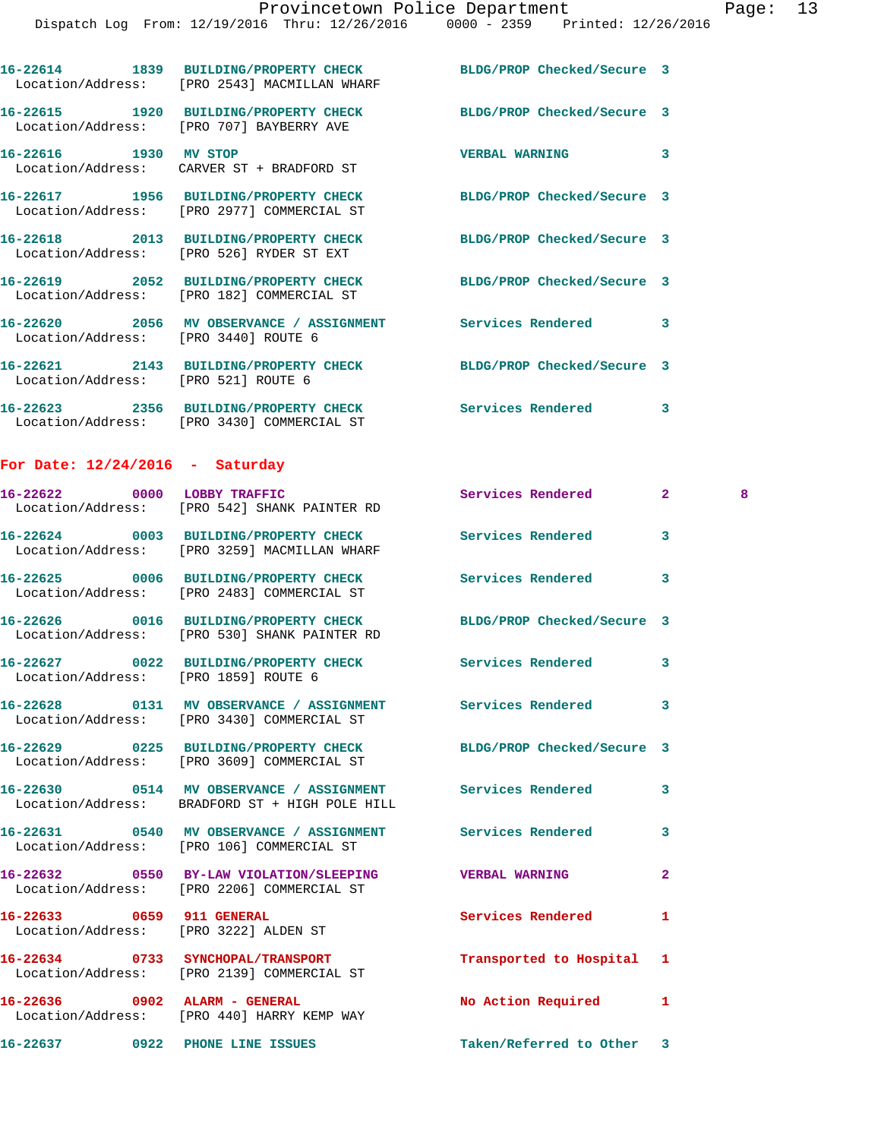|                                      | 16-22614 1839 BUILDING/PROPERTY CHECK<br>Location/Address: [PRO 2543] MACMILLAN WHARF                          | BLDG/PROP Checked/Secure 3 |                |   |
|--------------------------------------|----------------------------------------------------------------------------------------------------------------|----------------------------|----------------|---|
|                                      | 16-22615 1920 BUILDING/PROPERTY CHECK BLDG/PROP Checked/Secure 3<br>Location/Address: [PRO 707] BAYBERRY AVE   |                            |                |   |
| 16-22616 1930 MV STOP                | Location/Address: CARVER ST + BRADFORD ST                                                                      | <b>VERBAL WARNING</b>      | 3              |   |
|                                      | 16-22617 1956 BUILDING/PROPERTY CHECK BLDG/PROP Checked/Secure 3<br>Location/Address: [PRO 2977] COMMERCIAL ST |                            |                |   |
|                                      | 16-22618 2013 BUILDING/PROPERTY CHECK<br>Location/Address: [PRO 526] RYDER ST EXT                              | BLDG/PROP Checked/Secure 3 |                |   |
|                                      | 16-22619 2052 BUILDING/PROPERTY CHECK<br>Location/Address: [PRO 182] COMMERCIAL ST                             | BLDG/PROP Checked/Secure 3 |                |   |
| Location/Address: [PRO 3440] ROUTE 6 | 16-22620 2056 MV OBSERVANCE / ASSIGNMENT Services Rendered                                                     |                            | 3              |   |
| Location/Address: [PRO 521] ROUTE 6  | 16-22621 2143 BUILDING/PROPERTY CHECK                                                                          | BLDG/PROP Checked/Secure 3 |                |   |
|                                      | 16-22623 2356 BUILDING/PROPERTY CHECK Services Rendered<br>Location/Address: [PRO 3430] COMMERCIAL ST          |                            | 3              |   |
| For Date: $12/24/2016$ - Saturday    |                                                                                                                |                            |                |   |
|                                      | 16-22622 0000 LOBBY TRAFFIC<br>Location/Address: [PRO 542] SHANK PAINTER RD                                    | Services Rendered          | $\mathbf{2}$   | 8 |
|                                      | 16-22624 0003 BUILDING/PROPERTY CHECK<br>Location/Address: [PRO 3259] MACMILLAN WHARF                          | Services Rendered          | 3              |   |
|                                      | 16-22625 0006 BUILDING/PROPERTY CHECK<br>Location/Address: [PRO 2483] COMMERCIAL ST                            | Services Rendered          | 3              |   |
|                                      | 16-22626 0016 BUILDING/PROPERTY CHECK<br>Location/Address: [PRO 530] SHANK PAINTER RD                          | BLDG/PROP Checked/Secure 3 |                |   |
| Location/Address: [PRO 1859] ROUTE 6 | 16-22627 0022 BUILDING/PROPERTY CHECK                                                                          | Services Rendered          | 3              |   |
|                                      | 16-22628 0131 MV OBSERVANCE / ASSIGNMENT<br>Location/Address: [PRO 3430] COMMERCIAL ST                         | Services Rendered          | 3              |   |
|                                      | 16-22629 0225 BUILDING/PROPERTY CHECK BLDG/PROP Checked/Secure 3<br>Location/Address: [PRO 3609] COMMERCIAL ST |                            |                |   |
|                                      | 16-22630 0514 MV OBSERVANCE / ASSIGNMENT Services Rendered<br>Location/Address: BRADFORD ST + HIGH POLE HILL   |                            | 3              |   |
|                                      | 16-22631 0540 MV OBSERVANCE / ASSIGNMENT Services Rendered<br>Location/Address: [PRO 106] COMMERCIAL ST        |                            | 3              |   |
|                                      | 16-22632 0550 BY-LAW VIOLATION/SLEEPING VERBAL WARNING<br>Location/Address: [PRO 2206] COMMERCIAL ST           |                            | $\overline{a}$ |   |
| 16-22633 0659 911 GENERAL            | Location/Address: [PRO 3222] ALDEN ST                                                                          | Services Rendered          | 1              |   |
|                                      | 16-22634 0733 SYNCHOPAL/TRANSPORT<br>Location/Address: [PRO 2139] COMMERCIAL ST                                | Transported to Hospital    | 1              |   |
| 16-22636 0902 ALARM - GENERAL        | Location/Address: [PRO 440] HARRY KEMP WAY                                                                     | <b>No Action Required</b>  | 1              |   |
|                                      | 16-22637 0922 PHONE LINE ISSUES                                                                                | Taken/Referred to Other    | 3              |   |
|                                      |                                                                                                                |                            |                |   |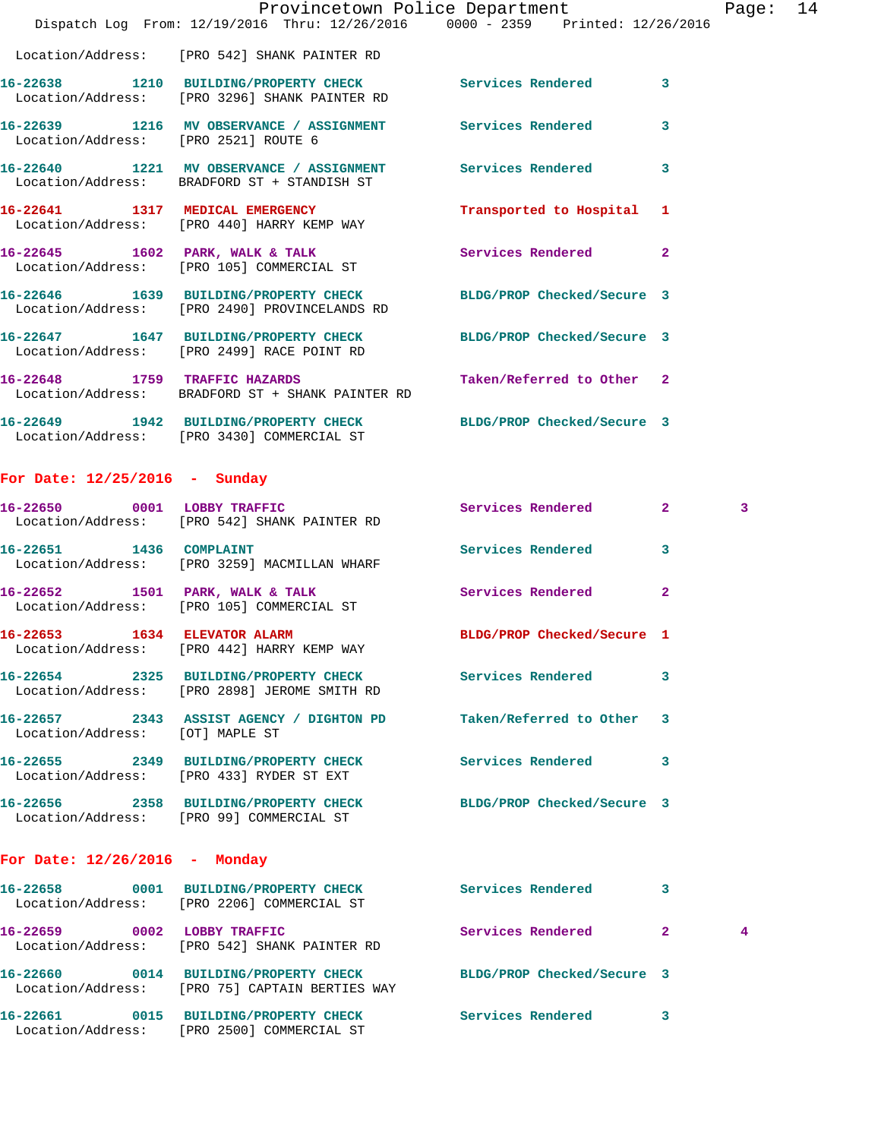|                                      | Dispatch Log From: 12/19/2016 Thru: 12/26/2016 0000 - 2359 Printed: 12/26/2016                                    | Provincetown Police Department | Page:                   | 14 |
|--------------------------------------|-------------------------------------------------------------------------------------------------------------------|--------------------------------|-------------------------|----|
|                                      | Location/Address: [PRO 542] SHANK PAINTER RD                                                                      |                                |                         |    |
|                                      | 16-22638 1210 BUILDING/PROPERTY CHECK Services Rendered 3<br>Location/Address: [PRO 3296] SHANK PAINTER RD        |                                |                         |    |
| Location/Address: [PRO 2521] ROUTE 6 | 16-22639 1216 MV OBSERVANCE / ASSIGNMENT Services Rendered                                                        |                                | $\overline{\mathbf{3}}$ |    |
|                                      | 16-22640 1221 MV OBSERVANCE / ASSIGNMENT Services Rendered<br>Location/Address: BRADFORD ST + STANDISH ST         |                                | $\overline{\mathbf{3}}$ |    |
|                                      | 16-22641 1317 MEDICAL EMERGENCY<br>Location/Address: [PRO 440] HARRY KEMP WAY                                     | Transported to Hospital 1      |                         |    |
|                                      | 16-22645 1602 PARK, WALK & TALK Services Rendered<br>Location/Address: [PRO 105] COMMERCIAL ST                    |                                | $\overline{2}$          |    |
|                                      | 16-22646 1639 BUILDING/PROPERTY CHECK BLDG/PROP Checked/Secure 3<br>Location/Address: [PRO 2490] PROVINCELANDS RD |                                |                         |    |
|                                      | 16-22647 1647 BUILDING/PROPERTY CHECK BLDG/PROP Checked/Secure 3<br>Location/Address: [PRO 2499] RACE POINT RD    |                                |                         |    |
|                                      | 16-22648 1759 TRAFFIC HAZARDS<br>Location/Address: BRADFORD ST + SHANK PAINTER RD                                 | Taken/Referred to Other 2      |                         |    |
|                                      | 16-22649 1942 BUILDING/PROPERTY CHECK BLDG/PROP Checked/Secure 3<br>Location/Address: [PRO 3430] COMMERCIAL ST    |                                |                         |    |

## **For Date: 12/25/2016 - Sunday**

|                                 | 16-22650 0001 LOBBY TRAFFIC<br>Location/Address: [PRO 542] SHANK PAINTER RD                                      | Services Rendered 2      |                | $\overline{3}$ |
|---------------------------------|------------------------------------------------------------------------------------------------------------------|--------------------------|----------------|----------------|
|                                 | 16-22651 1436 COMPLAINT<br>Location/Address: [PRO 3259] MACMILLAN WHARF                                          | <b>Services Rendered</b> | $\overline{3}$ |                |
|                                 | 16-22652 1501 PARK, WALK & TALK 1999 Services Rendered<br>Location/Address: [PRO 105] COMMERCIAL ST              |                          | $\overline{2}$ |                |
|                                 | 16-22653 1634 ELEVATOR ALARM BLDG/PROP Checked/Secure 1<br>Location/Address: [PRO 442] HARRY KEMP WAY            |                          |                |                |
|                                 | Location/Address: [PRO 2898] JEROME SMITH RD                                                                     |                          | 3              |                |
| Location/Address: [OT] MAPLE ST | 16-22657 2343 ASSIST AGENCY / DIGHTON PD Taken/Referred to Other 3                                               |                          |                |                |
|                                 | 16-22655      2349  BUILDING/PROPERTY_CHECK        Services_Rendered<br>Location/Address: [PRO 433] RYDER ST EXT |                          | 3              |                |
|                                 | 16-22656 2358 BUILDING/PROPERTY CHECK BLDG/PROP Checked/Secure 3<br>Location/Address: [PRO 99] COMMERCIAL ST     |                          |                |                |

## **For Date: 12/26/2016 - Monday**

| 16-22658 | 0001 | BUILDING/PROPERTY CHECK<br>Location/Address: [PRO 2206] COMMERCIAL ST            | Services Rendered          | 3 |   |
|----------|------|----------------------------------------------------------------------------------|----------------------------|---|---|
| 16–22659 | 0002 | LOBBY TRAFFIC<br>Location/Address: [PRO 542] SHANK PAINTER RD                    | Services Rendered          |   | 4 |
| 16–22660 | 0014 | <b>BUILDING/PROPERTY CHECK</b><br>Location/Address: [PRO 75] CAPTAIN BERTIES WAY | BLDG/PROP Checked/Secure 3 |   |   |
| 16-22661 | 0015 | <b>BUILDING/PROPERTY CHECK</b><br>Location/Address: [PRO 2500] COMMERCIAL ST     | Services Rendered          | 3 |   |